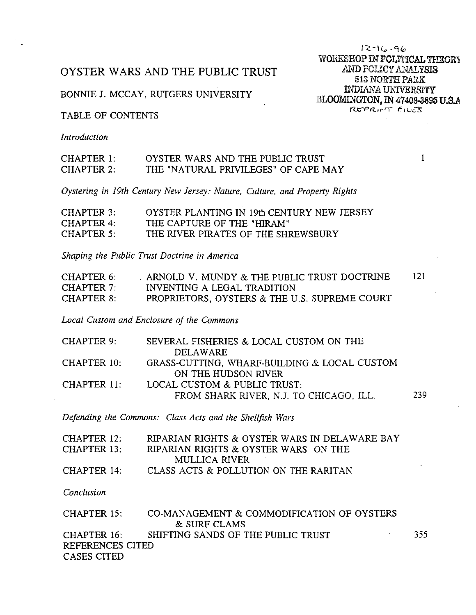# OYSTER WARS AND THE PUBLIC TRUST

# BONNIE J. MCCAY, RUTGERS UNIVERSITY

# TABLE OF CONTENTS

Introduction

#### CHAPTER 1: OYSTER WARS AND THE PUBLIC TRUST **CHAPTER 2:** THE "NATURAL PRIVILEGES" OF CAPE MAY

Oystering in 19th Century New Jersey: Nature, Culture, and Property Rights

| CHAPTER 3: | OYSTER PLANTING IN 19th CENTURY NEW JERSEY |
|------------|--------------------------------------------|
| CHAPTER 4: | THE CAPTURE OF THE "HIRAM"                 |
| CHAPTER 5: | THE RIVER PIRATES OF THE SHREWSBURY        |

Shaping the Public Trust Doctrine in America

| CHAPTER 6         | ARNOLD V. MUNDY & THE PUBLIC TRUST DOCTRINE   | 121 |
|-------------------|-----------------------------------------------|-----|
| CHAPTER 7.        | INVENTING A LEGAL TRADITION                   |     |
| <b>CHAPTER 8:</b> | PROPRIETORS, OYSTERS & THE U.S. SUPREME COURT |     |

Local Custom and Enclosure of the Commons

| CHAPTER 9:  | SEVERAL FISHERIES & LOCAL CUSTOM ON THE      |     |
|-------------|----------------------------------------------|-----|
|             | DELAWARE                                     |     |
| CHAPTER 10: | GRASS-CUTTING, WHARF-BUILDING & LOCAL CUSTOM |     |
|             | ON THE HUDSON RIVER                          |     |
| CHAPTER 11: | LOCAL CUSTOM & PUBLIC TRUST:                 |     |
|             | FROM SHARK RIVER, N.J. TO CHICAGO, ILL.      | 239 |
|             |                                              |     |

Defending the Commons: Class Acts and the Shellfish Wars

| CHAPTER 12: | RIPARIAN RIGHTS & OYSTER WARS IN DELAWARE BAY |
|-------------|-----------------------------------------------|
| CHAPTER 13: | RIPARIAN RIGHTS & OYSTER WARS ON THE          |
|             | MULLICA RIVER                                 |
| CHAPTER 14: | CLASS ACTS & POLLUTION ON THE RARITAN         |

Conclusion

| CHAPTER 15:      | CO-MANAGEMENT & COMMODIFICATION OF OYSTERS |      |
|------------------|--------------------------------------------|------|
|                  | & SURF CLAMS                               |      |
| $CHAPTER$ 16:    | SHIFTING SANDS OF THE PUBLIC TRUST         | 355. |
| REFERENCES CITED |                                            |      |
| CASES CITED      |                                            |      |

 $12 - 16 - 96$ WORKSHOP IN POLITICAL THEORY AND POLICY ANALYSIS 513 NORTH PARK **INDIANA UNIVERSITY** BLOOMINGTON, IN 47408-3895 U.S.A

 $\mathbf{1}$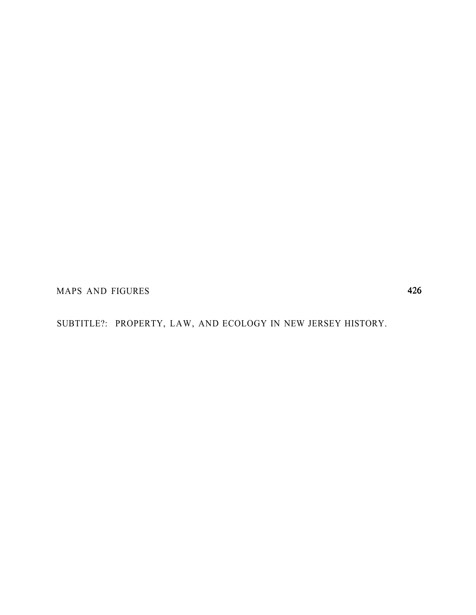MAPS AND FIGURES

SUBTITLE?: PROPERTY, LAW, AND ECOLOGY IN NEW JERSEY HISTORY.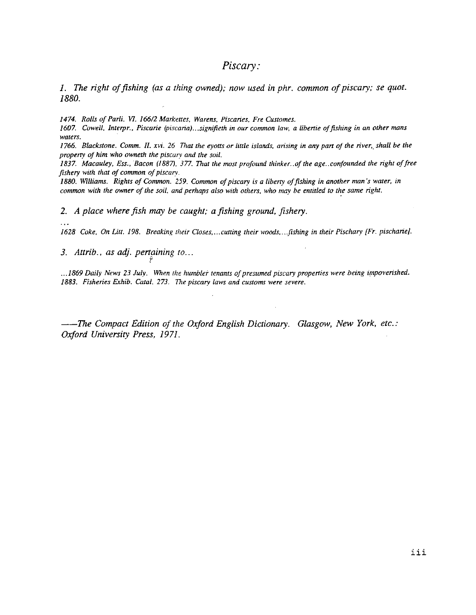# Piscary:

1. The right of fishing (as a thing owned); now used in phr. common of piscary; se quot. 1880.

1474. Rolls of Parli. VI. 166/2 Markettes, Warens, Piscaries, Fre Customes.

1607. Cowell, Interpr., Piscarie (piscaria)...signifieth in our common law, a libertie of fishing in an other mans waters.

1766. Blackstone. Comm. II, xvi. 26 That the eyotts or little islands, arising in any part of the river, shall be the property of him who owneth the piscary and the soil.

1837. Macauley, Ess., Bacon (1887), 377. That the most profound thinker. of the age. confounded the right of free fishery with that of common of piscarv.

1880. Williams. Rights of Common. 259. Common of piscary is a liberty of fishing in another man's water, in common with the owner of the soil, and perhaps also with others, who may be entitled to the same right.

2. A place where fish may be caught; a fishing ground, fishery.

1628 Coke, On Litt. 198. Breaking their Closes,...cutting their woods,...fishing in their Pischary [Fr. pischarie].

3. Attrib., as adj. pertaining to...

... 1869 Daily News 23 July. When the humbler tenants of presumed piscary properties were being impoverished. 1883. Fisheries Exhib. Catal. 273. The piscary laws and customs were severe.

-The Compact Edition of the Oxford English Dictionary. Glasgow, New York, etc.: Oxford University Press, 1971.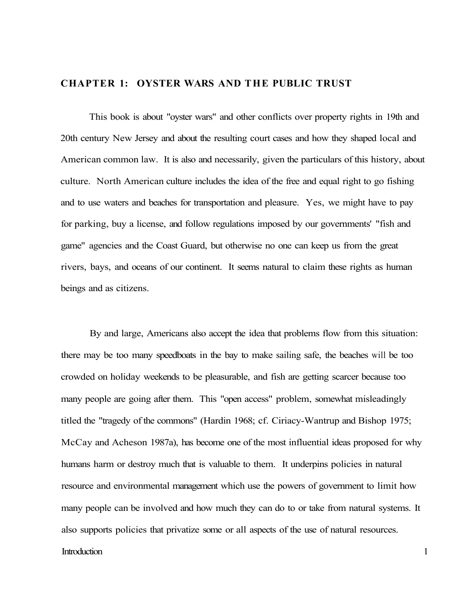# **CHAPTER 1: OYSTER WARS AND THE PUBLIC TRUST**

This book is about "oyster wars" and other conflicts over property rights in 19th and 20th century New Jersey and about the resulting court cases and how they shaped local and American common law. It is also and necessarily, given the particulars of this history, about culture. North American culture includes the idea of the free and equal right to go fishing and to use waters and beaches for transportation and pleasure. Yes, we might have to pay for parking, buy a license, and follow regulations imposed by our governments' "fish and game" agencies and the Coast Guard, but otherwise no one can keep us from the great rivers, bays, and oceans of our continent. It seems natural to claim these rights as human beings and as citizens.

By and large, Americans also accept the idea that problems flow from this situation: there may be too many speedboats in the bay to make sailing safe, the beaches will be too crowded on holiday weekends to be pleasurable, and fish are getting scarcer because too many people are going after them. This "open access" problem, somewhat misleadingly titled the "tragedy of the commons" (Hardin 1968; cf. Ciriacy-Wantrup and Bishop 1975; McCay and Acheson 1987a), has become one of the most influential ideas proposed for why humans harm or destroy much that is valuable to them. It underpins policies in natural resource and environmental management which use the powers of government to limit how many people can be involved and how much they can do to or take from natural systems. It also supports policies that privatize some or all aspects of the use of natural resources.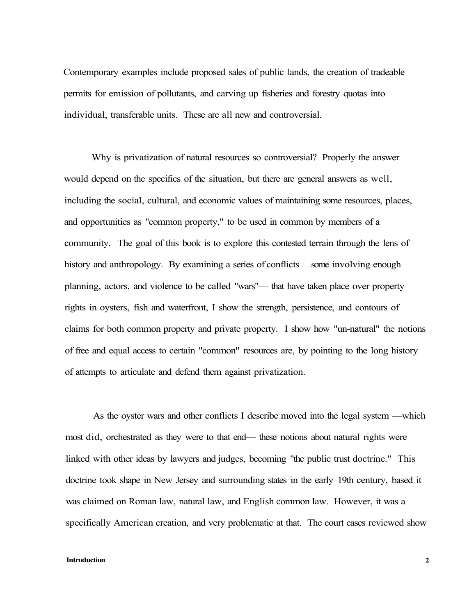Contemporary examples include proposed sales of public lands, the creation of tradeable permits for emission of pollutants, and carving up fisheries and forestry quotas into individual, transferable units. These are all new and controversial.

Why is privatization of natural resources so controversial? Properly the answer would depend on the specifics of the situation, but there are general answers as well, including the social, cultural, and economic values of maintaining some resources, places, and opportunities as "common property," to be used in common by members of a community. The goal of this book is to explore this contested terrain through the lens of history and anthropology. By examining a series of conflicts —some involving enough planning, actors, and violence to be called "wars"— that have taken place over property rights in oysters, fish and waterfront, I show the strength, persistence, and contours of claims for both common property and private property. I show how "un-natural" the notions of free and equal access to certain "common" resources are, by pointing to the long history of attempts to articulate and defend them against privatization.

As the oyster wars and other conflicts I describe moved into the legal system —which most did, orchestrated as they were to that end— these notions about natural rights were linked with other ideas by lawyers and judges, becoming "the public trust doctrine." This doctrine took shape in New Jersey and surrounding states in the early 19th century, based it was claimed on Roman law, natural law, and English common law. However, it was a specifically American creation, and very problematic at that. The court cases reviewed show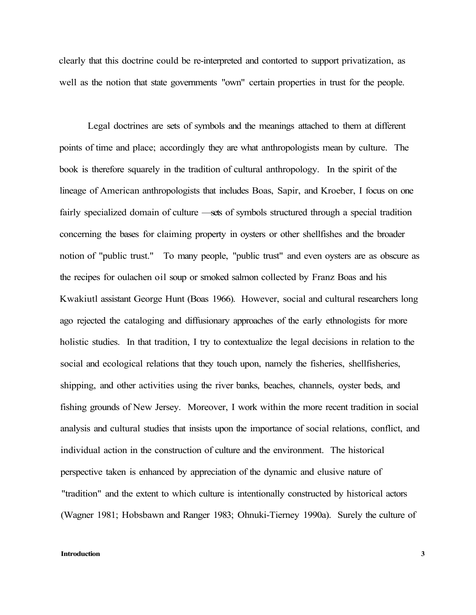clearly that this doctrine could be re-interpreted and contorted to support privatization, as well as the notion that state governments "own" certain properties in trust for the people.

Legal doctrines are sets of symbols and the meanings attached to them at different points of time and place; accordingly they are what anthropologists mean by culture. The book is therefore squarely in the tradition of cultural anthropology. In the spirit of the lineage of American anthropologists that includes Boas, Sapir, and Kroeber, I focus on one fairly specialized domain of culture —sets of symbols structured through a special tradition concerning the bases for claiming property in oysters or other shellfishes and the broader notion of "public trust." To many people, "public trust" and even oysters are as obscure as the recipes for oulachen oil soup or smoked salmon collected by Franz Boas and his Kwakiutl assistant George Hunt (Boas 1966). However, social and cultural researchers long ago rejected the cataloging and diffusionary approaches of the early ethnologists for more holistic studies. In that tradition, I try to contextualize the legal decisions in relation to the social and ecological relations that they touch upon, namely the fisheries, shellfisheries, shipping, and other activities using the river banks, beaches, channels, oyster beds, and fishing grounds of New Jersey. Moreover, I work within the more recent tradition in social analysis and cultural studies that insists upon the importance of social relations, conflict, and individual action in the construction of culture and the environment. The historical perspective taken is enhanced by appreciation of the dynamic and elusive nature of "tradition" and the extent to which culture is intentionally constructed by historical actors (Wagner 1981; Hobsbawn and Ranger 1983; Ohnuki-Tierney 1990a). Surely the culture of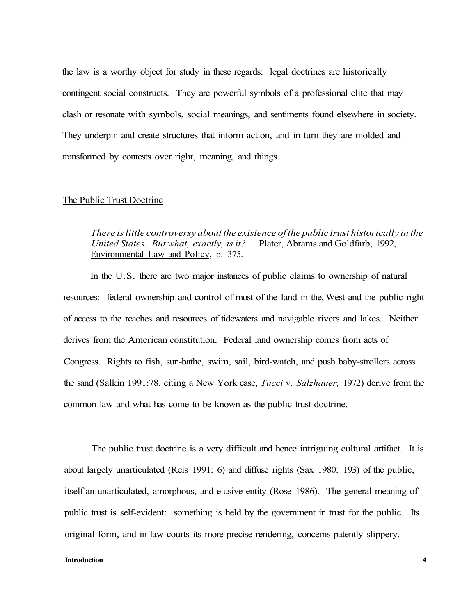the law is a worthy object for study in these regards: legal doctrines are historically contingent social constructs. They are powerful symbols of a professional elite that may clash or resonate with symbols, social meanings, and sentiments found elsewhere in society. They underpin and create structures that inform action, and in turn they are molded and transformed by contests over right, meaning, and things.

# The Public Trust Doctrine

*There is little controversy about the existence of the public trust historically in the United States. But what, exactly, is it? —* Plater, Abrams and Goldfarb, 1992, Environmental Law and Policy, p. 375.

In the U.S. there are two major instances of public claims to ownership of natural resources: federal ownership and control of most of the land in the, West and the public right of access to the reaches and resources of tidewaters and navigable rivers and lakes. Neither derives from the American constitution. Federal land ownership comes from acts of Congress. Rights to fish, sun-bathe, swim, sail, bird-watch, and push baby-strollers across the sand (Salkin 1991:78, citing a New York case, *Tucci* v. *Salzhauer,* 1972) derive from the common law and what has come to be known as the public trust doctrine.

The public trust doctrine is a very difficult and hence intriguing cultural artifact. It is about largely unarticulated (Reis 1991: 6) and diffuse rights (Sax 1980: 193) of the public, itself an unarticulated, amorphous, and elusive entity (Rose 1986). The general meaning of public trust is self-evident: something is held by the government in trust for the public. Its original form, and in law courts its more precise rendering, concerns patently slippery,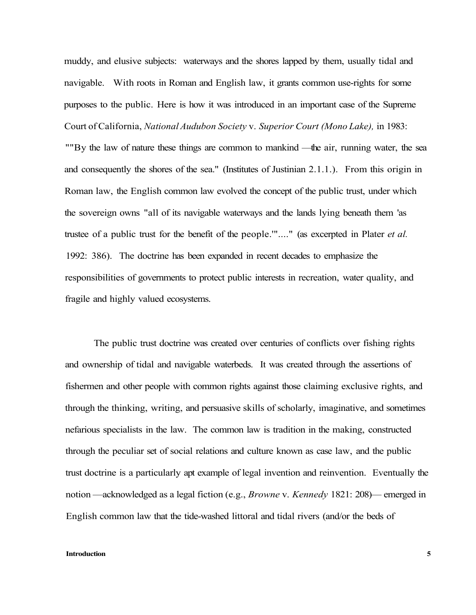muddy, and elusive subjects: waterways and the shores lapped by them, usually tidal and navigable. With roots in Roman and English law, it grants common use-rights for some purposes to the public. Here is how it was introduced in an important case of the Supreme Court of California, *National Audubon Society* v. *Superior Court (Mono Lake),* in 1983: ""By the law of nature these things are common to mankind —the air, running water, the sea and consequently the shores of the sea." (Institutes of Justinian 2.1.1.). From this origin in Roman law, the English common law evolved the concept of the public trust, under which the sovereign owns "all of its navigable waterways and the lands lying beneath them 'as trustee of a public trust for the benefit of the people.'"...." (as excerpted in Plater *et al.*  1992: 386). The doctrine has been expanded in recent decades to emphasize the responsibilities of governments to protect public interests in recreation, water quality, and fragile and highly valued ecosystems.

The public trust doctrine was created over centuries of conflicts over fishing rights and ownership of tidal and navigable waterbeds. It was created through the assertions of fishermen and other people with common rights against those claiming exclusive rights, and through the thinking, writing, and persuasive skills of scholarly, imaginative, and sometimes nefarious specialists in the law. The common law is tradition in the making, constructed through the peculiar set of social relations and culture known as case law, and the public trust doctrine is a particularly apt example of legal invention and reinvention. Eventually the notion —acknowledged as a legal fiction (e.g., *Browne* v. *Kennedy* 1821: 208)— emerged in English common law that the tide-washed littoral and tidal rivers (and/or the beds of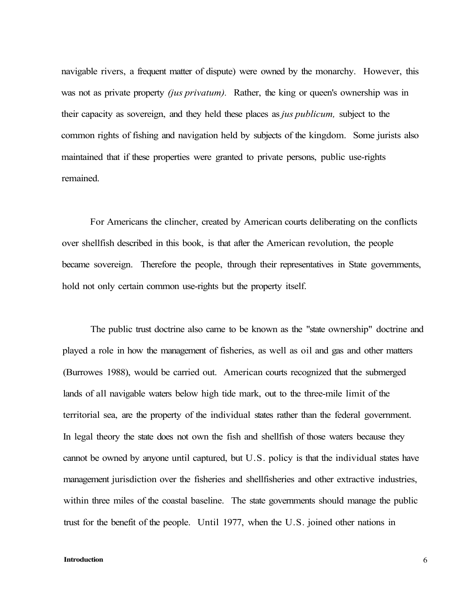navigable rivers, a frequent matter of dispute) were owned by the monarchy. However, this was not as private property *(jus privatum).* Rather, the king or queen's ownership was in their capacity as sovereign, and they held these places as *jus publicum,* subject to the common rights of fishing and navigation held by subjects of the kingdom. Some jurists also maintained that if these properties were granted to private persons, public use-rights remained.

For Americans the clincher, created by American courts deliberating on the conflicts over shellfish described in this book, is that after the American revolution, the people became sovereign. Therefore the people, through their representatives in State governments, hold not only certain common use-rights but the property itself.

The public trust doctrine also came to be known as the "state ownership" doctrine and played a role in how the management of fisheries, as well as oil and gas and other matters (Burrowes 1988), would be carried out. American courts recognized that the submerged lands of all navigable waters below high tide mark, out to the three-mile limit of the territorial sea, are the property of the individual states rather than the federal government. In legal theory the state does not own the fish and shellfish of those waters because they cannot be owned by anyone until captured, but U.S. policy is that the individual states have management jurisdiction over the fisheries and shellfisheries and other extractive industries, within three miles of the coastal baseline. The state governments should manage the public trust for the benefit of the people. Until 1977, when the U.S. joined other nations in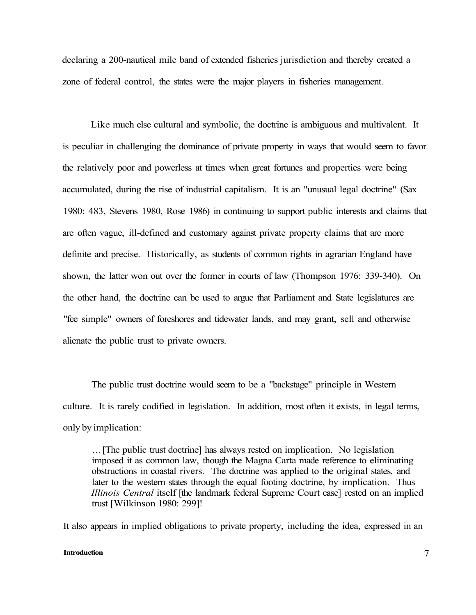declaring a 200-nautical mile band of extended fisheries jurisdiction and thereby created a zone of federal control, the states were the major players in fisheries management.

Like much else cultural and symbolic, the doctrine is ambiguous and multivalent. It is peculiar in challenging the dominance of private property in ways that would seem to favor the relatively poor and powerless at times when great fortunes and properties were being accumulated, during the rise of industrial capitalism. It is an "unusual legal doctrine" (Sax 1980: 483, Stevens 1980, Rose 1986) in continuing to support public interests and claims that are often vague, ill-defined and customary against private property claims that are more definite and precise. Historically, as students of common rights in agrarian England have shown, the latter won out over the former in courts of law (Thompson 1976: 339-340). On the other hand, the doctrine can be used to argue that Parliament and State legislatures are "fee simple" owners of foreshores and tidewater lands, and may grant, sell and otherwise alienate the public trust to private owners.

The public trust doctrine would seem to be a "backstage" principle in Western culture. It is rarely codified in legislation. In addition, most often it exists, in legal terms, only by implication:

... [The public trust doctrine] has always rested on implication. No legislation imposed it as common law, though the Magna Carta made reference to eliminating obstructions in coastal rivers. The doctrine was applied to the original states, and later to the western states through the equal footing doctrine, by implication. Thus *Illinois Central* itself [the landmark federal Supreme Court case] rested on an implied trust [Wilkinson 1980: 299]!

It also appears in implied obligations to private property, including the idea, expressed in an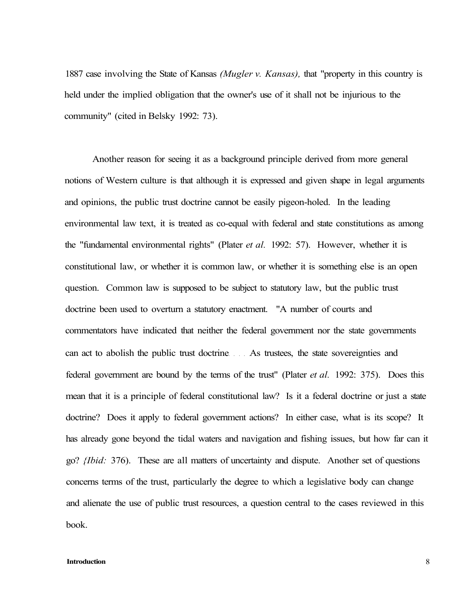1887 case involving the State of Kansas *(Mugler v. Kansas),* that "property in this country is held under the implied obligation that the owner's use of it shall not be injurious to the community" (cited in Belsky 1992: 73).

Another reason for seeing it as a background principle derived from more general notions of Western culture is that although it is expressed and given shape in legal arguments and opinions, the public trust doctrine cannot be easily pigeon-holed. In the leading environmental law text, it is treated as co-equal with federal and state constitutions as among the "fundamental environmental rights" (Plater *et al.* 1992: 57). However, whether it is constitutional law, or whether it is common law, or whether it is something else is an open question. Common law is supposed to be subject to statutory law, but the public trust doctrine been used to overturn a statutory enactment. "A number of courts and commentators have indicated that neither the federal government nor the state governments can act to abolish the public trust doctrine As trustees, the state sovereignties and federal government are bound by the terms of the trust" (Plater *et al.* 1992: 375). Does this mean that it is a principle of federal constitutional law? Is it a federal doctrine or just a state doctrine? Does it apply to federal government actions? In either case, what is its scope? It has already gone beyond the tidal waters and navigation and fishing issues, but how far can it go? *{Ibid:* 376). These are all matters of uncertainty and dispute. Another set of questions concerns terms of the trust, particularly the degree to which a legislative body can change and alienate the use of public trust resources, a question central to the cases reviewed in this book.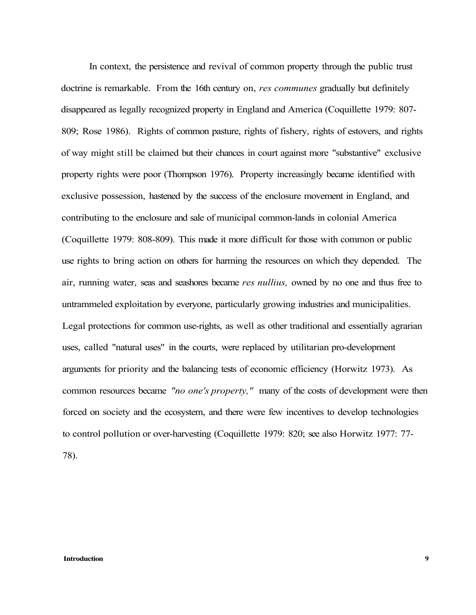In context, the persistence and revival of common property through the public trust doctrine is remarkable. From the 16th century on, *res communes* gradually but definitely disappeared as legally recognized property in England and America (Coquillette 1979: 807- 809; Rose 1986). Rights of common pasture, rights of fishery, rights of estovers, and rights of way might still be claimed but their chances in court against more "substantive" exclusive property rights were poor (Thompson 1976). Property increasingly became identified with exclusive possession, hastened by the success of the enclosure movement in England, and contributing to the enclosure and sale of municipal common-lands in colonial America (Coquillette 1979: 808-809). This made it more difficult for those with common or public use rights to bring action on others for harming the resources on which they depended. The air, running water, seas and seashores became *res nullius,* owned by no one and thus free to untrammeled exploitation by everyone, particularly growing industries and municipalities. Legal protections for common use-rights, as well as other traditional and essentially agrarian uses, called "natural uses" in the courts, were replaced by utilitarian pro-development arguments for priority and the balancing tests of economic efficiency (Horwitz 1973). As common resources became *"no one's property,"* many of the costs of development were then forced on society and the ecosystem, and there were few incentives to develop technologies to control pollution or over-harvesting (Coquillette 1979: 820; see also Horwitz 1977: 77- 78).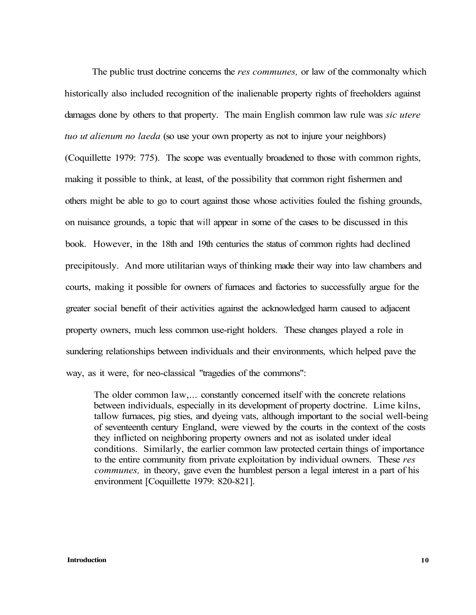The public trust doctrine concerns the *res communes,* or law of the commonalty which historically also included recognition of the inalienable property rights of freeholders against damages done by others to that property. The main English common law rule was *sic utere tuo ut alienum no laeda* (so use your own property as not to injure your neighbors) (Coquillette 1979: 775). The scope was eventually broadened to those with common rights, making it possible to think, at least, of the possibility that common right fishermen and others might be able to go to court against those whose activities fouled the fishing grounds, on nuisance grounds, a topic that will appear in some of the cases to be discussed in this book. However, in the 18th and 19th centuries the status of common rights had declined precipitously. And more utilitarian ways of thinking made their way into law chambers and courts, making it possible for owners of furnaces and factories to successfully argue for the greater social benefit of their activities against the acknowledged harm caused to adjacent property owners, much less common use-right holders. These changes played a role in sundering relationships between individuals and their environments, which helped pave the way, as it were, for neo-classical "tragedies of the commons":

The older common law,... constantly concerned itself with the concrete relations between individuals, especially in its development of property doctrine. Lime kilns, tallow furnaces, pig sties, and dyeing vats, although important to the social well-being of seventeenth century England, were viewed by the courts in the context of the costs they inflicted on neighboring property owners and not as isolated under ideal conditions. Similarly, the earlier common law protected certain things of importance to the entire community from private exploitation by individual owners. These *res communes,* in theory, gave even the humblest person a legal interest in a part of his environment [Coquillette 1979: 820-821].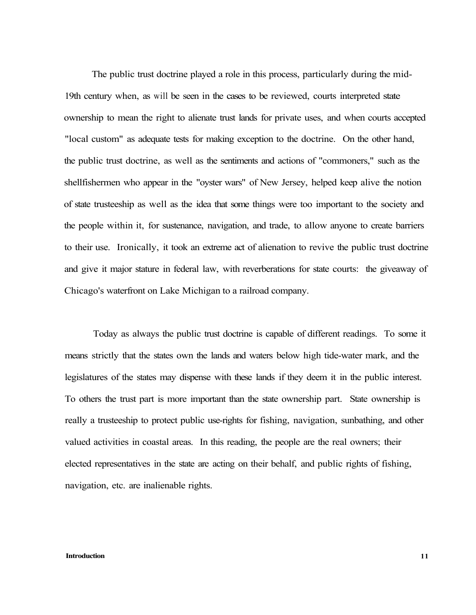The public trust doctrine played a role in this process, particularly during the mid-19th century when, as will be seen in the cases to be reviewed, courts interpreted state ownership to mean the right to alienate trust lands for private uses, and when courts accepted "local custom" as adequate tests for making exception to the doctrine. On the other hand, the public trust doctrine, as well as the sentiments and actions of "commoners," such as the shellfishermen who appear in the "oyster wars" of New Jersey, helped keep alive the notion of state trusteeship as well as the idea that some things were too important to the society and the people within it, for sustenance, navigation, and trade, to allow anyone to create barriers to their use. Ironically, it took an extreme act of alienation to revive the public trust doctrine and give it major stature in federal law, with reverberations for state courts: the giveaway of Chicago's waterfront on Lake Michigan to a railroad company.

Today as always the public trust doctrine is capable of different readings. To some it means strictly that the states own the lands and waters below high tide-water mark, and the legislatures of the states may dispense with these lands if they deem it in the public interest. To others the trust part is more important than the state ownership part. State ownership is really a trusteeship to protect public use-rights for fishing, navigation, sunbathing, and other valued activities in coastal areas. In this reading, the people are the real owners; their elected representatives in the state are acting on their behalf, and public rights of fishing, navigation, etc. are inalienable rights.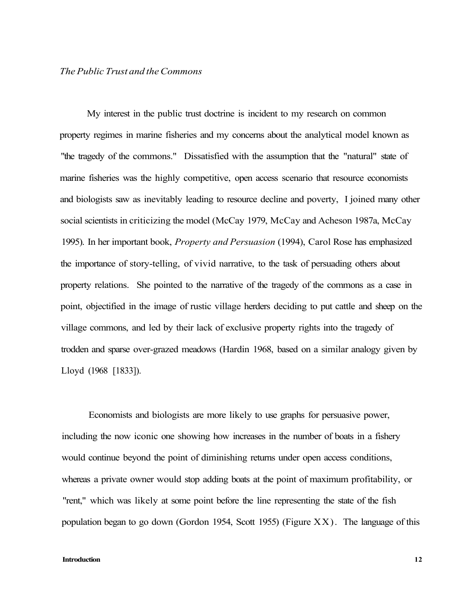My interest in the public trust doctrine is incident to my research on common property regimes in marine fisheries and my concerns about the analytical model known as "the tragedy of the commons." Dissatisfied with the assumption that the "natural" state of marine fisheries was the highly competitive, open access scenario that resource economists and biologists saw as inevitably leading to resource decline and poverty, I joined many other social scientists in criticizing the model (McCay 1979, McCay and Acheson 1987a, McCay 1995). In her important book, *Property and Persuasion* (1994), Carol Rose has emphasized the importance of story-telling, of vivid narrative, to the task of persuading others about property relations. She pointed to the narrative of the tragedy of the commons as a case in point, objectified in the image of rustic village herders deciding to put cattle and sheep on the village commons, and led by their lack of exclusive property rights into the tragedy of trodden and sparse over-grazed meadows (Hardin 1968, based on a similar analogy given by Lloyd (1968 [1833]).

Economists and biologists are more likely to use graphs for persuasive power, including the now iconic one showing how increases in the number of boats in a fishery would continue beyond the point of diminishing returns under open access conditions, whereas a private owner would stop adding boats at the point of maximum profitability, or "rent," which was likely at some point before the line representing the state of the fish population began to go down (Gordon 1954, Scott 1955) (Figure XX). The language of this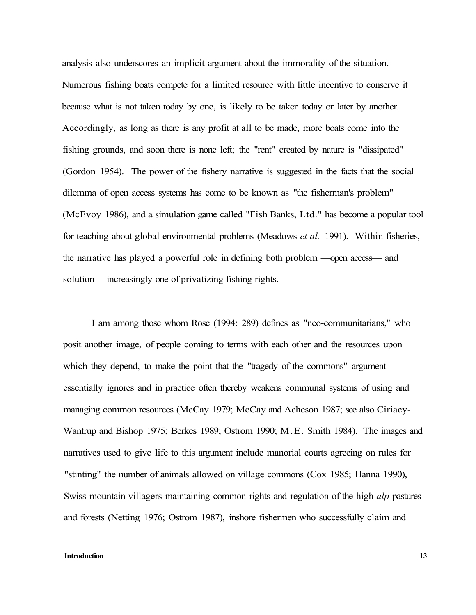analysis also underscores an implicit argument about the immorality of the situation. Numerous fishing boats compete for a limited resource with little incentive to conserve it because what is not taken today by one, is likely to be taken today or later by another. Accordingly, as long as there is any profit at all to be made, more boats come into the fishing grounds, and soon there is none left; the "rent" created by nature is "dissipated" (Gordon 1954). The power of the fishery narrative is suggested in the facts that the social dilemma of open access systems has come to be known as "the fisherman's problem" (McEvoy 1986), and a simulation game called "Fish Banks, Ltd." has become a popular tool for teaching about global environmental problems (Meadows *et al.* 1991). Within fisheries, the narrative has played a powerful role in defining both problem —open access— and solution —increasingly one of privatizing fishing rights.

I am among those whom Rose (1994: 289) defines as "neo-communitarians," who posit another image, of people coming to terms with each other and the resources upon which they depend, to make the point that the "tragedy of the commons" argument essentially ignores and in practice often thereby weakens communal systems of using and managing common resources (McCay 1979; McCay and Acheson 1987; see also Ciriacy-Wantrup and Bishop 1975; Berkes 1989; Ostrom 1990; M.E. Smith 1984). The images and narratives used to give life to this argument include manorial courts agreeing on rules for "stinting" the number of animals allowed on village commons (Cox 1985; Hanna 1990), Swiss mountain villagers maintaining common rights and regulation of the high *alp* pastures and forests (Netting 1976; Ostrom 1987), inshore fishermen who successfully claim and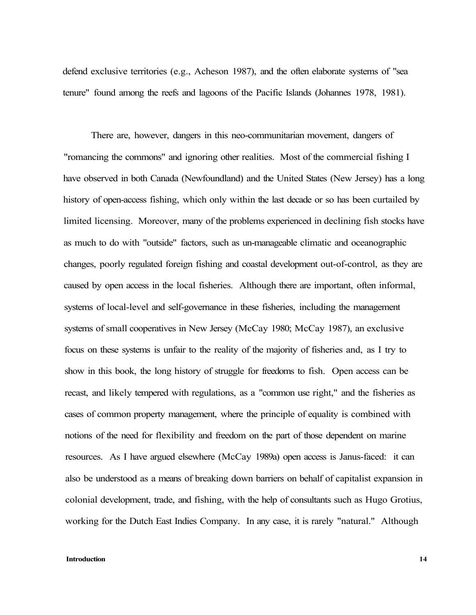defend exclusive territories (e.g., Acheson 1987), and the often elaborate systems of "sea tenure" found among the reefs and lagoons of the Pacific Islands (Johannes 1978, 1981).

There are, however, dangers in this neo-communitarian movement, dangers of "romancing the commons" and ignoring other realities. Most of the commercial fishing I have observed in both Canada (Newfoundland) and the United States (New Jersey) has a long history of open-access fishing, which only within the last decade or so has been curtailed by limited licensing. Moreover, many of the problems experienced in declining fish stocks have as much to do with "outside" factors, such as un-manageable climatic and oceanographic changes, poorly regulated foreign fishing and coastal development out-of-control, as they are caused by open access in the local fisheries. Although there are important, often informal, systems of local-level and self-governance in these fisheries, including the management systems of small cooperatives in New Jersey (McCay 1980; McCay 1987), an exclusive focus on these systems is unfair to the reality of the majority of fisheries and, as I try to show in this book, the long history of struggle for freedoms to fish. Open access can be recast, and likely tempered with regulations, as a "common use right," and the fisheries as cases of common property management, where the principle of equality is combined with notions of the need for flexibility and freedom on the part of those dependent on marine resources. As I have argued elsewhere (McCay 1989a) open access is Janus-faced: it can also be understood as a means of breaking down barriers on behalf of capitalist expansion in colonial development, trade, and fishing, with the help of consultants such as Hugo Grotius, working for the Dutch East Indies Company. In any case, it is rarely "natural." Although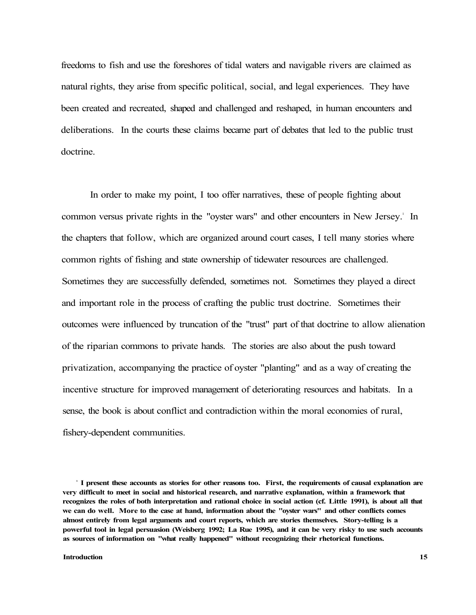freedoms to fish and use the foreshores of tidal waters and navigable rivers are claimed as natural rights, they arise from specific political, social, and legal experiences. They have been created and recreated, shaped and challenged and reshaped, in human encounters and deliberations. In the courts these claims became part of debates that led to the public trust doctrine.

In order to make my point, I too offer narratives, these of people fighting about common versus private rights in the "oyster wars" and other encounters in New Jersey.<sup>1</sup> In the chapters that follow, which are organized around court cases, I tell many stories where common rights of fishing and state ownership of tidewater resources are challenged. Sometimes they are successfully defended, sometimes not. Sometimes they played a direct and important role in the process of crafting the public trust doctrine. Sometimes their outcomes were influenced by truncation of the "trust" part of that doctrine to allow alienation of the riparian commons to private hands. The stories are also about the push toward privatization, accompanying the practice of oyster "planting" and as a way of creating the incentive structure for improved management of deteriorating resources and habitats. In a sense, the book is about conflict and contradiction within the moral economies of rural, fishery-dependent communities.

**<sup>1</sup> I present these accounts as stories for other reasons too. First, the requirements of causal explanation are very difficult to meet in social and historical research, and narrative explanation, within a framework that recognizes the roles of both interpretation and rational choice in social action (cf. Little 1991), is about all that we can do well. More to the case at hand, information about the "oyster wars" and other conflicts comes almost entirely from legal arguments and court reports, which are stories themselves. Story-telling is a powerful tool in legal persuasion (Weisberg 1992; La Rue 1995), and it can be very risky to use such accounts as sources of information on "what really happened" without recognizing their rhetorical functions.**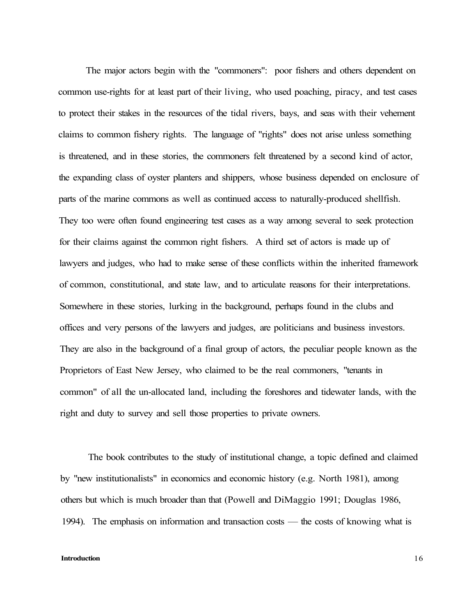The major actors begin with the "commoners": poor fishers and others dependent on common use-rights for at least part of their living, who used poaching, piracy, and test cases to protect their stakes in the resources of the tidal rivers, bays, and seas with their vehement claims to common fishery rights. The language of "rights" does not arise unless something is threatened, and in these stories, the commoners felt threatened by a second kind of actor, the expanding class of oyster planters and shippers, whose business depended on enclosure of parts of the marine commons as well as continued access to naturally-produced shellfish. They too were often found engineering test cases as a way among several to seek protection for their claims against the common right fishers. A third set of actors is made up of lawyers and judges, who had to make sense of these conflicts within the inherited framework of common, constitutional, and state law, and to articulate reasons for their interpretations. Somewhere in these stories, lurking in the background, perhaps found in the clubs and offices and very persons of the lawyers and judges, are politicians and business investors. They are also in the background of a final group of actors, the peculiar people known as the Proprietors of East New Jersey, who claimed to be the real commoners, "tenants in common" of all the un-allocated land, including the foreshores and tidewater lands, with the right and duty to survey and sell those properties to private owners.

The book contributes to the study of institutional change, a topic defined and claimed by "new institutionalists" in economics and economic history (e.g. North 1981), among others but which is much broader than that (Powell and DiMaggio 1991; Douglas 1986, 1994). The emphasis on information and transaction costs — the costs of knowing what is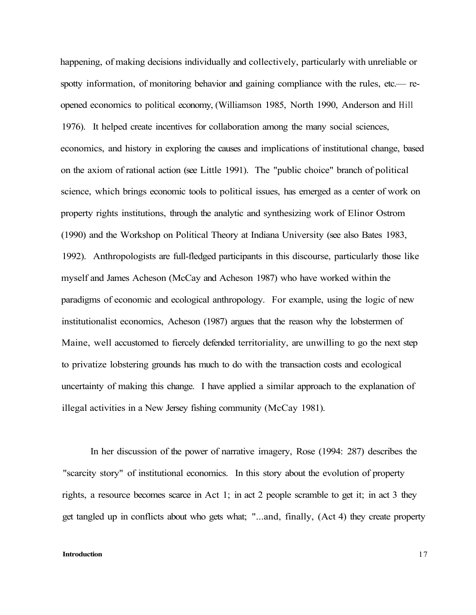happening, of making decisions individually and collectively, particularly with unreliable or spotty information, of monitoring behavior and gaining compliance with the rules, etc.— reopened economics to political economy, (Williamson 1985, North 1990, Anderson and Hill 1976). It helped create incentives for collaboration among the many social sciences, economics, and history in exploring the causes and implications of institutional change, based on the axiom of rational action (see Little 1991). The "public choice" branch of political science, which brings economic tools to political issues, has emerged as a center of work on property rights institutions, through the analytic and synthesizing work of Elinor Ostrom (1990) and the Workshop on Political Theory at Indiana University (see also Bates 1983, 1992). Anthropologists are full-fledged participants in this discourse, particularly those like myself and James Acheson (McCay and Acheson 1987) who have worked within the paradigms of economic and ecological anthropology. For example, using the logic of new institutionalist economics, Acheson (1987) argues that the reason why the lobstermen of Maine, well accustomed to fiercely defended territoriality, are unwilling to go the next step to privatize lobstering grounds has much to do with the transaction costs and ecological uncertainty of making this change. I have applied a similar approach to the explanation of illegal activities in a New Jersey fishing community (McCay 1981).

In her discussion of the power of narrative imagery, Rose (1994: 287) describes the "scarcity story" of institutional economics. In this story about the evolution of property rights, a resource becomes scarce in Act 1; in act 2 people scramble to get it; in act 3 they get tangled up in conflicts about who gets what; "...and, finally, (Act 4) they create property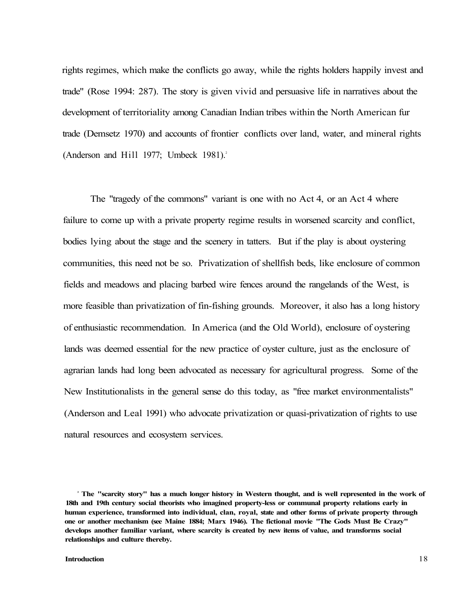rights regimes, which make the conflicts go away, while the rights holders happily invest and trade" (Rose 1994: 287). The story is given vivid and persuasive life in narratives about the development of territoriality among Canadian Indian tribes within the North American fur trade (Demsetz 1970) and accounts of frontier conflicts over land, water, and mineral rights (Anderson and Hill 1977; Umbeck 1981).<sup>2</sup>

The "tragedy of the commons" variant is one with no Act 4, or an Act 4 where failure to come up with a private property regime results in worsened scarcity and conflict, bodies lying about the stage and the scenery in tatters. But if the play is about oystering communities, this need not be so. Privatization of shellfish beds, like enclosure of common fields and meadows and placing barbed wire fences around the rangelands of the West, is more feasible than privatization of fin-fishing grounds. Moreover, it also has a long history of enthusiastic recommendation. In America (and the Old World), enclosure of oystering lands was deemed essential for the new practice of oyster culture, just as the enclosure of agrarian lands had long been advocated as necessary for agricultural progress. Some of the New Institutionalists in the general sense do this today, as "free market environmentalists" (Anderson and Leal 1991) who advocate privatization or quasi-privatization of rights to use natural resources and ecosystem services.

<sup>&</sup>lt;sup>2</sup> The "scarcity story" has a much longer history in Western thought, and is well represented in the work of **18th and 19th century social theorists who imagined property-less or communal property relations early in human experience, transformed into individual, clan, royal, state and other forms of private property through one or another mechanism (see Maine 1884; Marx 1946). The fictional movie "The Gods Must Be Crazy" develops another familiar variant, where scarcity is created by new items of value, and transforms social relationships and culture thereby.**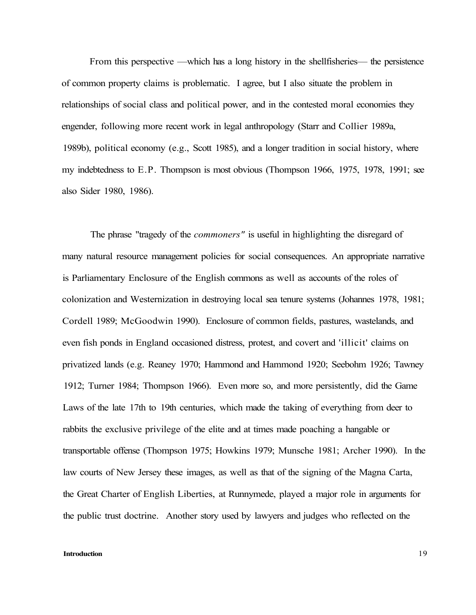From this perspective —which has a long history in the shellfisheries— the persistence of common property claims is problematic. I agree, but I also situate the problem in relationships of social class and political power, and in the contested moral economies they engender, following more recent work in legal anthropology (Starr and Collier 1989a, 1989b), political economy (e.g., Scott 1985), and a longer tradition in social history, where my indebtedness to E.P. Thompson is most obvious (Thompson 1966, 1975, 1978, 1991; see also Sider 1980, 1986).

The phrase "tragedy of the *commoners"* is useful in highlighting the disregard of many natural resource management policies for social consequences. An appropriate narrative is Parliamentary Enclosure of the English commons as well as accounts of the roles of colonization and Westernization in destroying local sea tenure systems (Johannes 1978, 1981; Cordell 1989; McGoodwin 1990). Enclosure of common fields, pastures, wastelands, and even fish ponds in England occasioned distress, protest, and covert and 'illicit' claims on privatized lands (e.g. Reaney 1970; Hammond and Hammond 1920; Seebohm 1926; Tawney 1912; Turner 1984; Thompson 1966). Even more so, and more persistently, did the Game Laws of the late 17th to 19th centuries, which made the taking of everything from deer to rabbits the exclusive privilege of the elite and at times made poaching a hangable or transportable offense (Thompson 1975; Howkins 1979; Munsche 1981; Archer 1990). In the law courts of New Jersey these images, as well as that of the signing of the Magna Carta, the Great Charter of English Liberties, at Runnymede, played a major role in arguments for the public trust doctrine. Another story used by lawyers and judges who reflected on the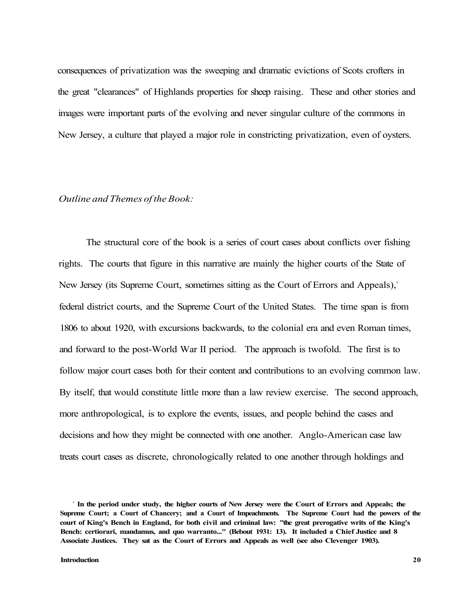consequences of privatization was the sweeping and dramatic evictions of Scots crofters in the great "clearances" of Highlands properties for sheep raising. These and other stories and images were important parts of the evolving and never singular culture of the commons in New Jersey, a culture that played a major role in constricting privatization, even of oysters.

### *Outline and Themes of the Book:*

The structural core of the book is a series of court cases about conflicts over fishing rights. The courts that figure in this narrative are mainly the higher courts of the State of New Jersey (its Supreme Court, sometimes sitting as the Court of Errors and Appeals),<sup>3</sup> federal district courts, and the Supreme Court of the United States. The time span is from 1806 to about 1920, with excursions backwards, to the colonial era and even Roman times, and forward to the post-World War II period. The approach is twofold. The first is to follow major court cases both for their content and contributions to an evolving common law. By itself, that would constitute little more than a law review exercise. The second approach, more anthropological, is to explore the events, issues, and people behind the cases and decisions and how they might be connected with one another. Anglo-American case law treats court cases as discrete, chronologically related to one another through holdings and

**<sup>3</sup> In the period under study, the higher courts of New Jersey were the Court of Errors and Appeals; the Supreme Court; a Court of Chancery; and a Court of Impeachments. The Supreme Court had the powers of the court of King's Bench in England, for both civil and criminal law: "the great prerogative writs of the King's Bench: certiorari, mandamus, and quo warranto..." (Bebout 1931: 13). It included a Chief Justice and 8 Associate Justices. They sat as the Court of Errors and Appeals as well (see also Clevenger 1903).**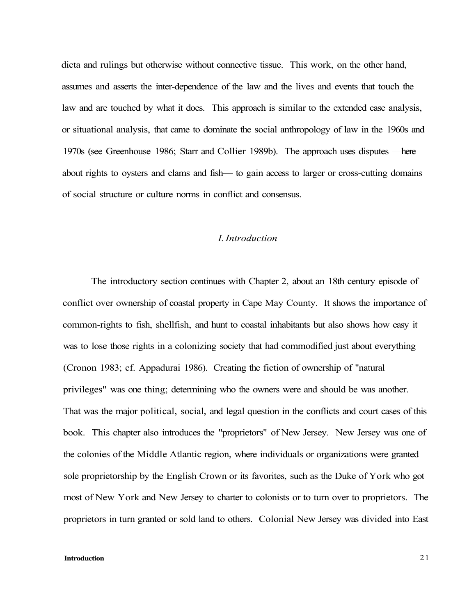dicta and rulings but otherwise without connective tissue. This work, on the other hand, assumes and asserts the inter-dependence of the law and the lives and events that touch the law and are touched by what it does. This approach is similar to the extended case analysis, or situational analysis, that came to dominate the social anthropology of law in the 1960s and 1970s (see Greenhouse 1986; Starr and Collier 1989b). The approach uses disputes —here about rights to oysters and clams and fish— to gain access to larger or cross-cutting domains of social structure or culture norms in conflict and consensus.

# *I. Introduction*

The introductory section continues with Chapter 2, about an 18th century episode of conflict over ownership of coastal property in Cape May County. It shows the importance of common-rights to fish, shellfish, and hunt to coastal inhabitants but also shows how easy it was to lose those rights in a colonizing society that had commodified just about everything (Cronon 1983; cf. Appadurai 1986). Creating the fiction of ownership of "natural privileges" was one thing; determining who the owners were and should be was another. That was the major political, social, and legal question in the conflicts and court cases of this book. This chapter also introduces the "proprietors" of New Jersey. New Jersey was one of the colonies of the Middle Atlantic region, where individuals or organizations were granted sole proprietorship by the English Crown or its favorites, such as the Duke of York who got most of New York and New Jersey to charter to colonists or to turn over to proprietors. The proprietors in turn granted or sold land to others. Colonial New Jersey was divided into East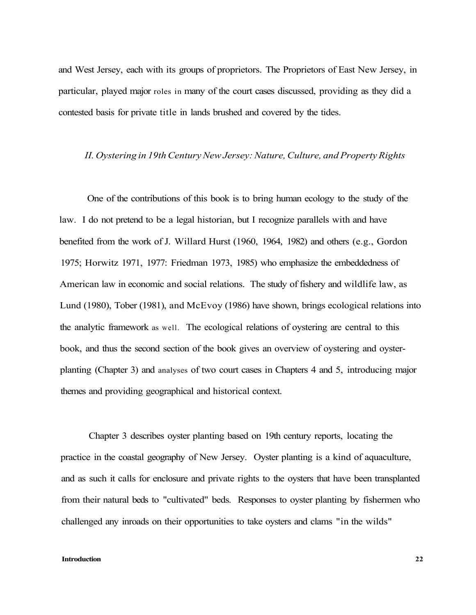and West Jersey, each with its groups of proprietors. The Proprietors of East New Jersey, in particular, played major roles in many of the court cases discussed, providing as they did a contested basis for private title in lands brushed and covered by the tides.

### *II. Oystering in 19th Century New Jersey: Nature, Culture, and Property Rights*

One of the contributions of this book is to bring human ecology to the study of the law. I do not pretend to be a legal historian, but I recognize parallels with and have benefited from the work of J. Willard Hurst (1960, 1964, 1982) and others (e.g., Gordon 1975; Horwitz 1971, 1977: Friedman 1973, 1985) who emphasize the embeddedness of American law in economic and social relations. The study of fishery and wildlife law, as Lund (1980), Tober (1981), and McEvoy (1986) have shown, brings ecological relations into the analytic framework as well. The ecological relations of oystering are central to this book, and thus the second section of the book gives an overview of oystering and oysterplanting (Chapter 3) and analyses of two court cases in Chapters 4 and 5, introducing major themes and providing geographical and historical context.

Chapter 3 describes oyster planting based on 19th century reports, locating the practice in the coastal geography of New Jersey. Oyster planting is a kind of aquaculture, and as such it calls for enclosure and private rights to the oysters that have been transplanted from their natural beds to "cultivated" beds. Responses to oyster planting by fishermen who challenged any inroads on their opportunities to take oysters and clams "in the wilds"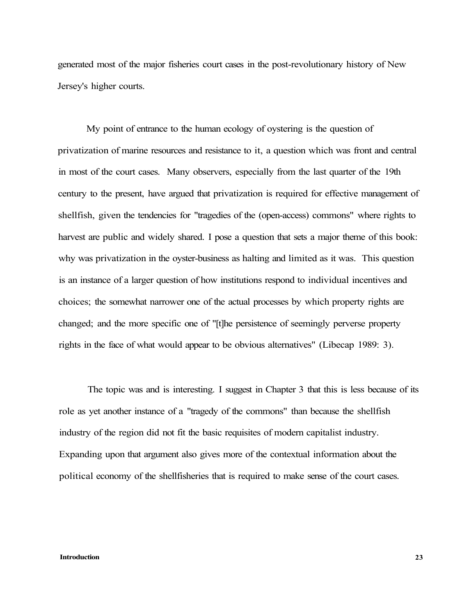generated most of the major fisheries court cases in the post-revolutionary history of New Jersey's higher courts.

My point of entrance to the human ecology of oystering is the question of privatization of marine resources and resistance to it, a question which was front and central in most of the court cases. Many observers, especially from the last quarter of the 19th century to the present, have argued that privatization is required for effective management of shellfish, given the tendencies for "tragedies of the (open-access) commons" where rights to harvest are public and widely shared. I pose a question that sets a major theme of this book: why was privatization in the oyster-business as halting and limited as it was. This question is an instance of a larger question of how institutions respond to individual incentives and choices; the somewhat narrower one of the actual processes by which property rights are changed; and the more specific one of "[t]he persistence of seemingly perverse property rights in the face of what would appear to be obvious alternatives" (Libecap 1989: 3).

The topic was and is interesting. I suggest in Chapter 3 that this is less because of its role as yet another instance of a "tragedy of the commons" than because the shellfish industry of the region did not fit the basic requisites of modern capitalist industry. Expanding upon that argument also gives more of the contextual information about the political economy of the shellfisheries that is required to make sense of the court cases.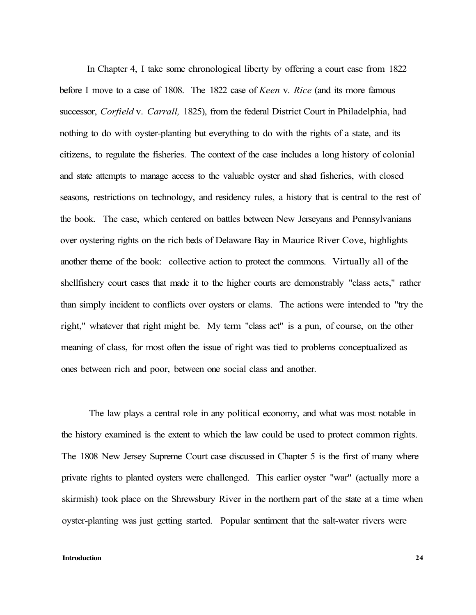In Chapter 4, I take some chronological liberty by offering a court case from 1822 before I move to a case of 1808. The 1822 case of *Keen* v. *Rice* (and its more famous successor, *Corfield* v. *Carrall,* 1825), from the federal District Court in Philadelphia, had nothing to do with oyster-planting but everything to do with the rights of a state, and its citizens, to regulate the fisheries. The context of the case includes a long history of colonial and state attempts to manage access to the valuable oyster and shad fisheries, with closed seasons, restrictions on technology, and residency rules, a history that is central to the rest of the book. The case, which centered on battles between New Jerseyans and Pennsylvanians over oystering rights on the rich beds of Delaware Bay in Maurice River Cove, highlights another theme of the book: collective action to protect the commons. Virtually all of the shellfishery court cases that made it to the higher courts are demonstrably "class acts," rather than simply incident to conflicts over oysters or clams. The actions were intended to "try the right," whatever that right might be. My term "class act" is a pun, of course, on the other meaning of class, for most often the issue of right was tied to problems conceptualized as ones between rich and poor, between one social class and another.

The law plays a central role in any political economy, and what was most notable in the history examined is the extent to which the law could be used to protect common rights. The 1808 New Jersey Supreme Court case discussed in Chapter 5 is the first of many where private rights to planted oysters were challenged. This earlier oyster "war" (actually more a skirmish) took place on the Shrewsbury River in the northern part of the state at a time when oyster-planting was just getting started. Popular sentiment that the salt-water rivers were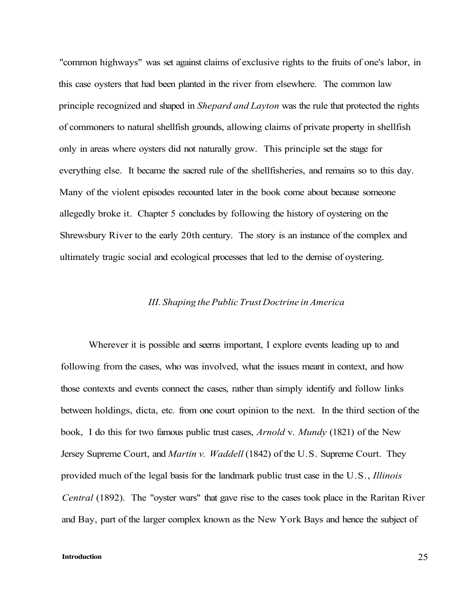"common highways" was set against claims of exclusive rights to the fruits of one's labor, in this case oysters that had been planted in the river from elsewhere. The common law principle recognized and shaped in *Shepard and Layton* was the rule that protected the rights of commoners to natural shellfish grounds, allowing claims of private property in shellfish only in areas where oysters did not naturally grow. This principle set the stage for everything else. It became the sacred rule of the shellfisheries, and remains so to this day. Many of the violent episodes recounted later in the book come about because someone allegedly broke it. Chapter 5 concludes by following the history of oystering on the Shrewsbury River to the early 20th century. The story is an instance of the complex and ultimately tragic social and ecological processes that led to the demise of oystering.

### *III. Shaping the Public Trust Doctrine in America*

Wherever it is possible and seems important, I explore events leading up to and following from the cases, who was involved, what the issues meant in context, and how those contexts and events connect the cases, rather than simply identify and follow links between holdings, dicta, etc. from one court opinion to the next. In the third section of the book, I do this for two famous public trust cases, *Arnold* v. *Mundy* (1821) of the New Jersey Supreme Court, and *Martin v. Waddell* (1842) of the U.S. Supreme Court. They provided much of the legal basis for the landmark public trust case in the U.S., *Illinois Central* (1892). The "oyster wars" that gave rise to the cases took place in the Raritan River and Bay, part of the larger complex known as the New York Bays and hence the subject of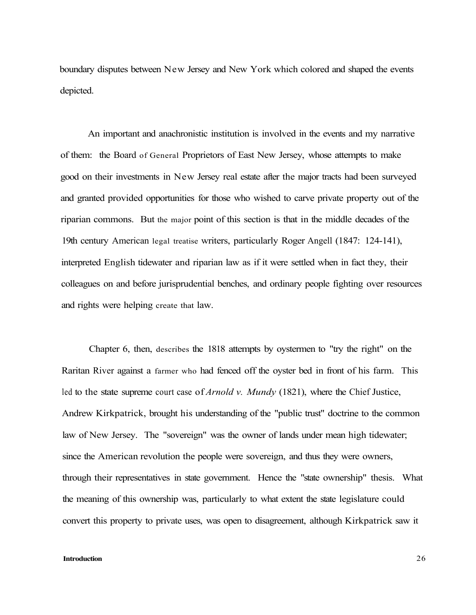boundary disputes between New Jersey and New York which colored and shaped the events depicted.

An important and anachronistic institution is involved in the events and my narrative of them: the Board of General Proprietors of East New Jersey, whose attempts to make good on their investments in New Jersey real estate after the major tracts had been surveyed and granted provided opportunities for those who wished to carve private property out of the riparian commons. But the major point of this section is that in the middle decades of the 19th century American legal treatise writers, particularly Roger Angell (1847: 124-141), interpreted English tidewater and riparian law as if it were settled when in fact they, their colleagues on and before jurisprudential benches, and ordinary people fighting over resources and rights were helping create that law.

Chapter 6, then, describes the 1818 attempts by oystermen to "try the right" on the Raritan River against a farmer who had fenced off the oyster bed in front of his farm. This led to the state supreme court case of *Arnold v. Mundy* (1821), where the Chief Justice, Andrew Kirkpatrick, brought his understanding of the "public trust" doctrine to the common law of New Jersey. The "sovereign" was the owner of lands under mean high tidewater; since the American revolution the people were sovereign, and thus they were owners, through their representatives in state government. Hence the "state ownership" thesis. What the meaning of this ownership was, particularly to what extent the state legislature could convert this property to private uses, was open to disagreement, although Kirkpatrick saw it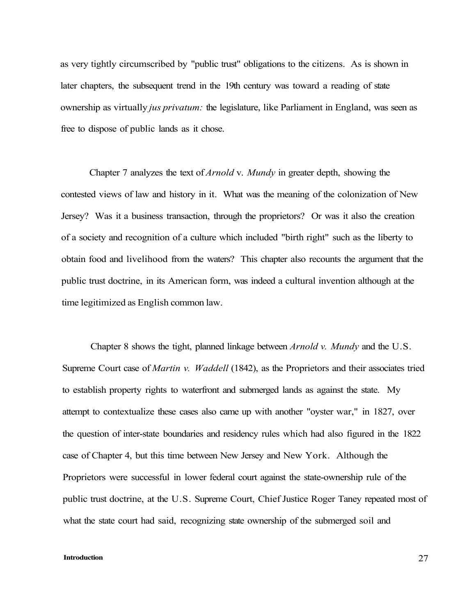as very tightly circumscribed by "public trust" obligations to the citizens. As is shown in later chapters, the subsequent trend in the 19th century was toward a reading of state ownership as virtually *jus privatum:* the legislature, like Parliament in England, was seen as free to dispose of public lands as it chose.

Chapter 7 analyzes the text of *Arnold* v. *Mundy* in greater depth, showing the contested views of law and history in it. What was the meaning of the colonization of New Jersey? Was it a business transaction, through the proprietors? Or was it also the creation of a society and recognition of a culture which included "birth right" such as the liberty to obtain food and livelihood from the waters? This chapter also recounts the argument that the public trust doctrine, in its American form, was indeed a cultural invention although at the time legitimized as English common law.

Chapter 8 shows the tight, planned linkage between *Arnold v. Mundy* and the U.S. Supreme Court case of *Martin v. Waddell* (1842), as the Proprietors and their associates tried to establish property rights to waterfront and submerged lands as against the state. My attempt to contextualize these cases also came up with another "oyster war," in 1827, over the question of inter-state boundaries and residency rules which had also figured in the 1822 case of Chapter 4, but this time between New Jersey and New York. Although the Proprietors were successful in lower federal court against the state-ownership rule of the public trust doctrine, at the U.S. Supreme Court, Chief Justice Roger Taney repeated most of what the state court had said, recognizing state ownership of the submerged soil and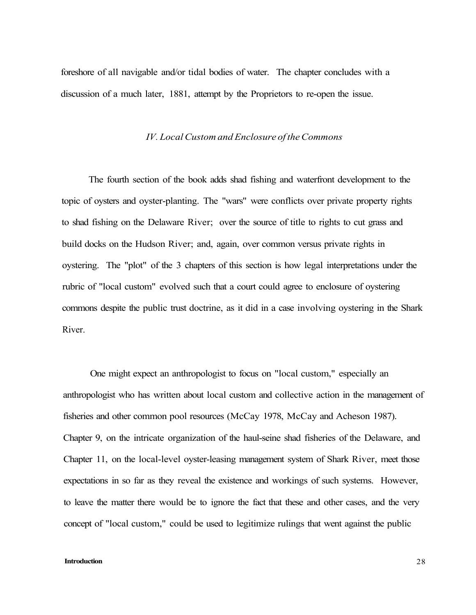foreshore of all navigable and/or tidal bodies of water. The chapter concludes with a discussion of a much later, 1881, attempt by the Proprietors to re-open the issue.

# *IV. Local Custom and Enclosure of the Commons*

The fourth section of the book adds shad fishing and waterfront development to the topic of oysters and oyster-planting. The "wars" were conflicts over private property rights to shad fishing on the Delaware River; over the source of title to rights to cut grass and build docks on the Hudson River; and, again, over common versus private rights in oystering. The "plot" of the 3 chapters of this section is how legal interpretations under the rubric of "local custom" evolved such that a court could agree to enclosure of oystering commons despite the public trust doctrine, as it did in a case involving oystering in the Shark River.

One might expect an anthropologist to focus on "local custom," especially an anthropologist who has written about local custom and collective action in the management of fisheries and other common pool resources (McCay 1978, McCay and Acheson 1987). Chapter 9, on the intricate organization of the haul-seine shad fisheries of the Delaware, and Chapter 11, on the local-level oyster-leasing management system of Shark River, meet those expectations in so far as they reveal the existence and workings of such systems. However, to leave the matter there would be to ignore the fact that these and other cases, and the very concept of "local custom," could be used to legitimize rulings that went against the public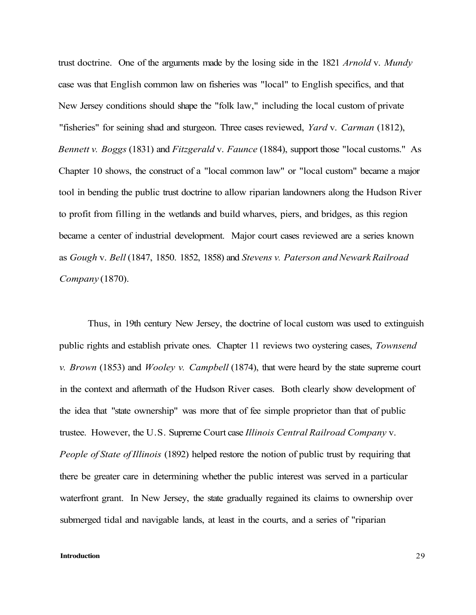trust doctrine. One of the arguments made by the losing side in the 1821 *Arnold* v. *Mundy*  case was that English common law on fisheries was "local" to English specifics, and that New Jersey conditions should shape the "folk law," including the local custom of private "fisheries" for seining shad and sturgeon. Three cases reviewed, *Yard* v. *Carman* (1812), *Bennett v. Boggs* (1831) and *Fitzgerald* v. *Faunce* (1884), support those "local customs." As Chapter 10 shows, the construct of a "local common law" or "local custom" became a major tool in bending the public trust doctrine to allow riparian landowners along the Hudson River to profit from filling in the wetlands and build wharves, piers, and bridges, as this region became a center of industrial development. Major court cases reviewed are a series known as *Gough* v. *Bell* (1847, 1850. 1852, 1858) and *Stevens v. Paterson and Newark Railroad Company* (1870).

Thus, in 19th century New Jersey, the doctrine of local custom was used to extinguish public rights and establish private ones. Chapter 11 reviews two oystering cases, *Townsend v. Brown* (1853) and *Wooley v. Campbell* (1874), that were heard by the state supreme court in the context and aftermath of the Hudson River cases. Both clearly show development of the idea that "state ownership" was more that of fee simple proprietor than that of public trustee. However, the U.S. Supreme Court case *Illinois Central Railroad Company* v. *People of State of Illinois* (1892) helped restore the notion of public trust by requiring that there be greater care in determining whether the public interest was served in a particular waterfront grant. In New Jersey, the state gradually regained its claims to ownership over submerged tidal and navigable lands, at least in the courts, and a series of "riparian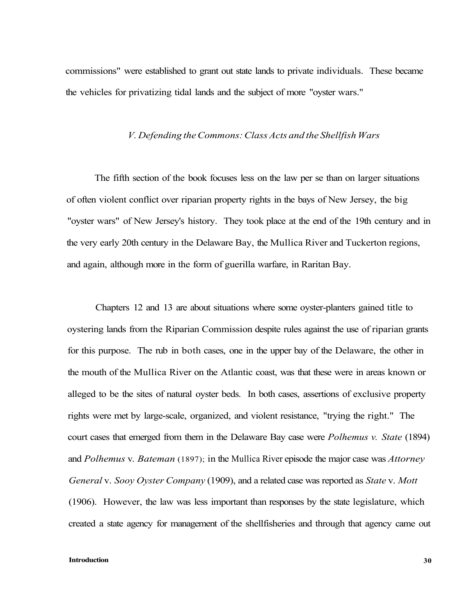commissions" were established to grant out state lands to private individuals. These became the vehicles for privatizing tidal lands and the subject of more "oyster wars."

### *V. Defending the Commons: Class Acts and the Shellfish Wars*

The fifth section of the book focuses less on the law per se than on larger situations of often violent conflict over riparian property rights in the bays of New Jersey, the big "oyster wars" of New Jersey's history. They took place at the end of the 19th century and in the very early 20th century in the Delaware Bay, the Mullica River and Tuckerton regions, and again, although more in the form of guerilla warfare, in Raritan Bay.

Chapters 12 and 13 are about situations where some oyster-planters gained title to oystering lands from the Riparian Commission despite rules against the use of riparian grants for this purpose. The rub in both cases, one in the upper bay of the Delaware, the other in the mouth of the Mullica River on the Atlantic coast, was that these were in areas known or alleged to be the sites of natural oyster beds. In both cases, assertions of exclusive property rights were met by large-scale, organized, and violent resistance, "trying the right." The court cases that emerged from them in the Delaware Bay case were *Polhemus v. State* (1894) and *Polhemus* v. *Bateman* (1897); in the Mullica River episode the major case was *Attorney General* v. *Sooy Oyster Company* (1909), and a related case was reported as *State* v. *Mott*  (1906). However, the law was less important than responses by the state legislature, which created a state agency for management of the shellfisheries and through that agency came out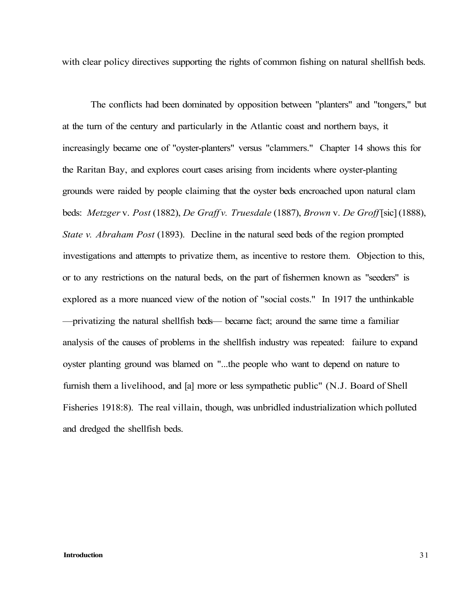with clear policy directives supporting the rights of common fishing on natural shellfish beds.

The conflicts had been dominated by opposition between "planters" and "tongers," but at the turn of the century and particularly in the Atlantic coast and northern bays, it increasingly became one of "oyster-planters" versus "clammers." Chapter 14 shows this for the Raritan Bay, and explores court cases arising from incidents where oyster-planting grounds were raided by people claiming that the oyster beds encroached upon natural clam beds: *Metzger* v. *Post* (1882), *De Graff v. Truesdale* (1887), *Brown* v. *De Groff* [sic] (1888), *State v. Abraham Post* (1893). Decline in the natural seed beds of the region prompted investigations and attempts to privatize them, as incentive to restore them. Objection to this, or to any restrictions on the natural beds, on the part of fishermen known as "seeders" is explored as a more nuanced view of the notion of "social costs." In 1917 the unthinkable —privatizing the natural shellfish beds— became fact; around the same time a familiar analysis of the causes of problems in the shellfish industry was repeated: failure to expand oyster planting ground was blamed on "...the people who want to depend on nature to furnish them a livelihood, and [a] more or less sympathetic public" (N.J. Board of Shell Fisheries 1918:8). The real villain, though, was unbridled industrialization which polluted and dredged the shellfish beds.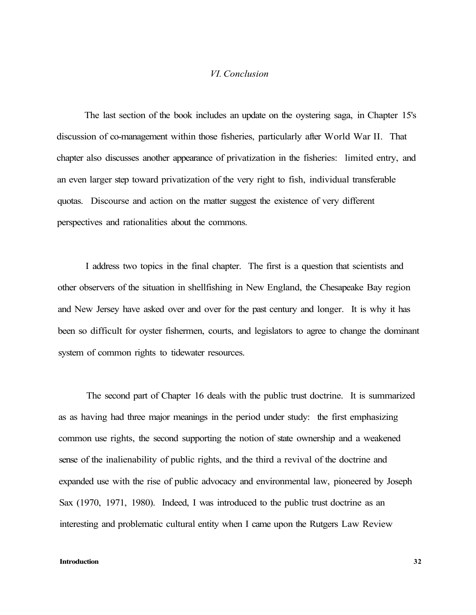# *VI. Conclusion*

The last section of the book includes an update on the oystering saga, in Chapter 15's discussion of co-management within those fisheries, particularly after World War II. That chapter also discusses another appearance of privatization in the fisheries: limited entry, and an even larger step toward privatization of the very right to fish, individual transferable quotas. Discourse and action on the matter suggest the existence of very different perspectives and rationalities about the commons.

I address two topics in the final chapter. The first is a question that scientists and other observers of the situation in shellfishing in New England, the Chesapeake Bay region and New Jersey have asked over and over for the past century and longer. It is why it has been so difficult for oyster fishermen, courts, and legislators to agree to change the dominant system of common rights to tidewater resources.

The second part of Chapter 16 deals with the public trust doctrine. It is summarized as as having had three major meanings in the period under study: the first emphasizing common use rights, the second supporting the notion of state ownership and a weakened sense of the inalienability of public rights, and the third a revival of the doctrine and expanded use with the rise of public advocacy and environmental law, pioneered by Joseph Sax (1970, 1971, 1980). Indeed, I was introduced to the public trust doctrine as an interesting and problematic cultural entity when I came upon the Rutgers Law Review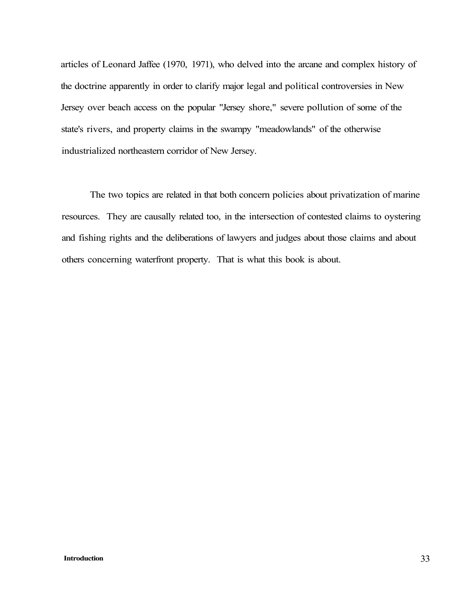articles of Leonard Jaffee (1970, 1971), who delved into the arcane and complex history of the doctrine apparently in order to clarify major legal and political controversies in New Jersey over beach access on the popular "Jersey shore," severe pollution of some of the state's rivers, and property claims in the swampy "meadowlands" of the otherwise industrialized northeastern corridor of New Jersey.

The two topics are related in that both concern policies about privatization of marine resources. They are causally related too, in the intersection of contested claims to oystering and fishing rights and the deliberations of lawyers and judges about those claims and about others concerning waterfront property. That is what this book is about.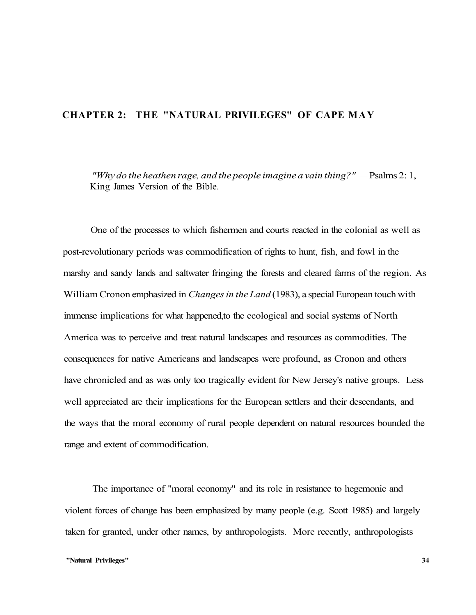# **CHAPTER 2: THE "NATURAL PRIVILEGES" OF CAPE MAY**

*"Why do the heathen rage, and the people imagine a vain thing?"* — Psalms 2: 1, King James Version of the Bible.

One of the processes to which fishermen and courts reacted in the colonial as well as post-revolutionary periods was commodification of rights to hunt, fish, and fowl in the marshy and sandy lands and saltwater fringing the forests and cleared farms of the region. As William Cronon emphasized in *Changes in the Land* (1983), a special European touch with immense implications for what happened,to the ecological and social systems of North America was to perceive and treat natural landscapes and resources as commodities. The consequences for native Americans and landscapes were profound, as Cronon and others have chronicled and as was only too tragically evident for New Jersey's native groups. Less well appreciated are their implications for the European settlers and their descendants, and the ways that the moral economy of rural people dependent on natural resources bounded the range and extent of commodification.

The importance of "moral economy" and its role in resistance to hegemonic and violent forces of change has been emphasized by many people (e.g. Scott 1985) and largely taken for granted, under other names, by anthropologists. More recently, anthropologists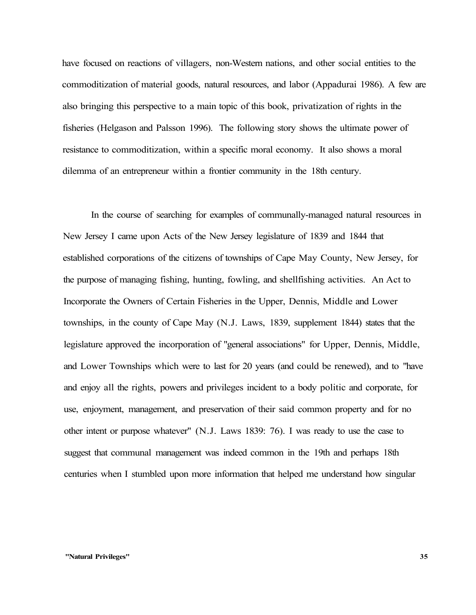have focused on reactions of villagers, non-Western nations, and other social entities to the commoditization of material goods, natural resources, and labor (Appadurai 1986). A few are also bringing this perspective to a main topic of this book, privatization of rights in the fisheries (Helgason and Palsson 1996). The following story shows the ultimate power of resistance to commoditization, within a specific moral economy. It also shows a moral dilemma of an entrepreneur within a frontier community in the 18th century.

In the course of searching for examples of communally-managed natural resources in New Jersey I came upon Acts of the New Jersey legislature of 1839 and 1844 that established corporations of the citizens of townships of Cape May County, New Jersey, for the purpose of managing fishing, hunting, fowling, and shellfishing activities. An Act to Incorporate the Owners of Certain Fisheries in the Upper, Dennis, Middle and Lower townships, in the county of Cape May (N.J. Laws, 1839, supplement 1844) states that the legislature approved the incorporation of "general associations" for Upper, Dennis, Middle, and Lower Townships which were to last for 20 years (and could be renewed), and to "have and enjoy all the rights, powers and privileges incident to a body politic and corporate, for use, enjoyment, management, and preservation of their said common property and for no other intent or purpose whatever" (N.J. Laws 1839: 76). I was ready to use the case to suggest that communal management was indeed common in the 19th and perhaps 18th centuries when I stumbled upon more information that helped me understand how singular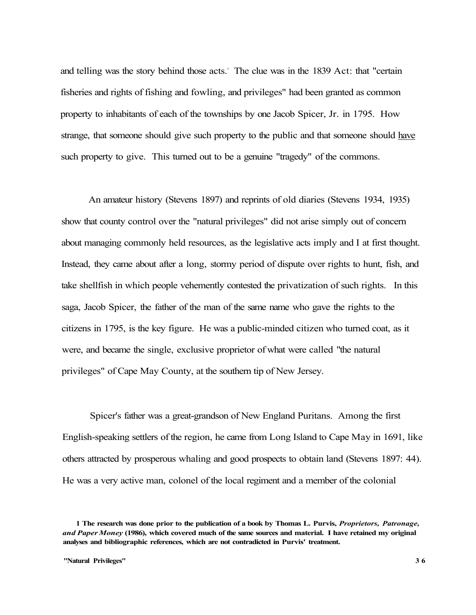and telling was the story behind those acts.' The clue was in the 1839 Act: that "certain fisheries and rights of fishing and fowling, and privileges" had been granted as common property to inhabitants of each of the townships by one Jacob Spicer, Jr. in 1795. How strange, that someone should give such property to the public and that someone should have such property to give. This turned out to be a genuine "tragedy" of the commons.

An amateur history (Stevens 1897) and reprints of old diaries (Stevens 1934, 1935) show that county control over the "natural privileges" did not arise simply out of concern about managing commonly held resources, as the legislative acts imply and I at first thought. Instead, they came about after a long, stormy period of dispute over rights to hunt, fish, and take shellfish in which people vehemently contested the privatization of such rights. In this saga, Jacob Spicer, the father of the man of the same name who gave the rights to the citizens in 1795, is the key figure. He was a public-minded citizen who turned coat, as it were, and became the single, exclusive proprietor of what were called "the natural privileges" of Cape May County, at the southern tip of New Jersey.

Spicer's father was a great-grandson of New England Puritans. Among the first English-speaking settlers of the region, he came from Long Island to Cape May in 1691, like others attracted by prosperous whaling and good prospects to obtain land (Stevens 1897: 44). He was a very active man, colonel of the local regiment and a member of the colonial

**<sup>1</sup> The research was done prior to the publication of a book by Thomas L. Purvis,** *Proprietors, Patronage, and Paper Money* **(1986), which covered much of the same sources and material. I have retained my original analyses and bibliographic references, which are not contradicted in Purvis' treatment.**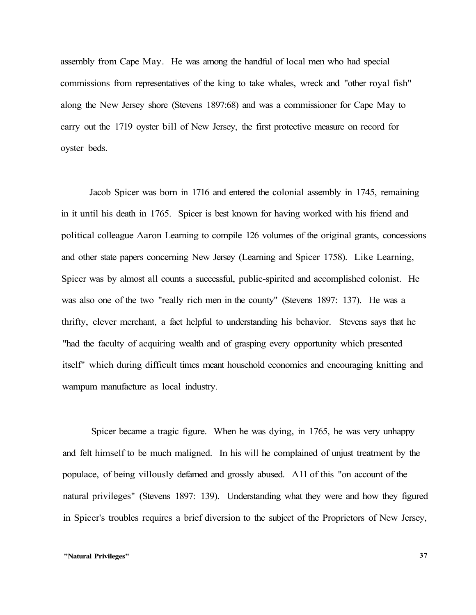assembly from Cape May. He was among the handful of local men who had special commissions from representatives of the king to take whales, wreck and "other royal fish" along the New Jersey shore (Stevens 1897:68) and was a commissioner for Cape May to carry out the 1719 oyster bill of New Jersey, the first protective measure on record for oyster beds.

Jacob Spicer was born in 1716 and entered the colonial assembly in 1745, remaining in it until his death in 1765. Spicer is best known for having worked with his friend and political colleague Aaron Learning to compile 126 volumes of the original grants, concessions and other state papers concerning New Jersey (Learning and Spicer 1758). Like Learning, Spicer was by almost all counts a successful, public-spirited and accomplished colonist. He was also one of the two "really rich men in the county" (Stevens 1897: 137). He was a thrifty, clever merchant, a fact helpful to understanding his behavior. Stevens says that he "had the faculty of acquiring wealth and of grasping every opportunity which presented itself" which during difficult times meant household economies and encouraging knitting and wampum manufacture as local industry.

Spicer became a tragic figure. When he was dying, in 1765, he was very unhappy and felt himself to be much maligned. In his will he complained of unjust treatment by the populace, of being villously defamed and grossly abused. All of this "on account of the natural privileges" (Stevens 1897: 139). Understanding what they were and how they figured in Spicer's troubles requires a brief diversion to the subject of the Proprietors of New Jersey,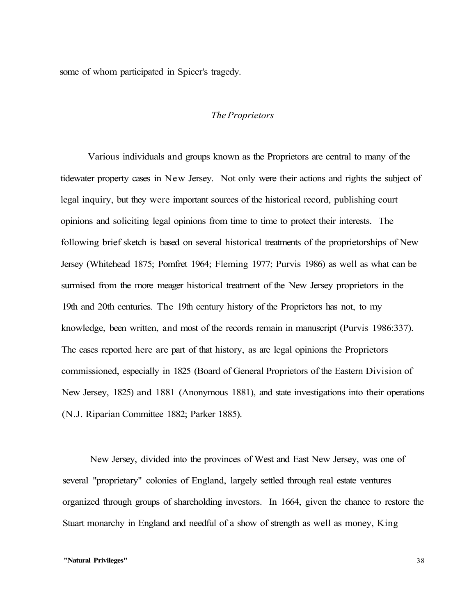some of whom participated in Spicer's tragedy.

# *The Proprietors*

Various individuals and groups known as the Proprietors are central to many of the tidewater property cases in New Jersey. Not only were their actions and rights the subject of legal inquiry, but they were important sources of the historical record, publishing court opinions and soliciting legal opinions from time to time to protect their interests. The following brief sketch is based on several historical treatments of the proprietorships of New Jersey (Whitehead 1875; Pomfret 1964; Fleming 1977; Purvis 1986) as well as what can be surmised from the more meager historical treatment of the New Jersey proprietors in the 19th and 20th centuries. The 19th century history of the Proprietors has not, to my knowledge, been written, and most of the records remain in manuscript (Purvis 1986:337). The cases reported here are part of that history, as are legal opinions the Proprietors commissioned, especially in 1825 (Board of General Proprietors of the Eastern Division of New Jersey, 1825) and 1881 (Anonymous 1881), and state investigations into their operations (N.J. Riparian Committee 1882; Parker 1885).

New Jersey, divided into the provinces of West and East New Jersey, was one of several "proprietary" colonies of England, largely settled through real estate ventures organized through groups of shareholding investors. In 1664, given the chance to restore the Stuart monarchy in England and needful of a show of strength as well as money, King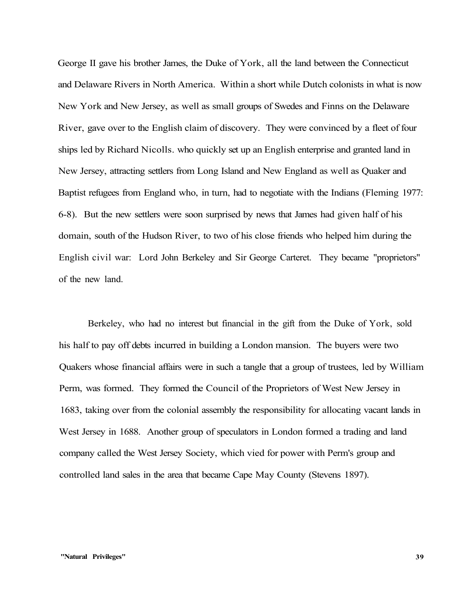George II gave his brother James, the Duke of York, all the land between the Connecticut and Delaware Rivers in North America. Within a short while Dutch colonists in what is now New York and New Jersey, as well as small groups of Swedes and Finns on the Delaware River, gave over to the English claim of discovery. They were convinced by a fleet of four ships led by Richard Nicolls. who quickly set up an English enterprise and granted land in New Jersey, attracting settlers from Long Island and New England as well as Quaker and Baptist refugees from England who, in turn, had to negotiate with the Indians (Fleming 1977: 6-8). But the new settlers were soon surprised by news that James had given half of his domain, south of the Hudson River, to two of his close friends who helped him during the English civil war: Lord John Berkeley and Sir George Carteret. They became "proprietors" of the new land.

Berkeley, who had no interest but financial in the gift from the Duke of York, sold his half to pay off debts incurred in building a London mansion. The buyers were two Quakers whose financial affairs were in such a tangle that a group of trustees, led by William Perm, was formed. They formed the Council of the Proprietors of West New Jersey in 1683, taking over from the colonial assembly the responsibility for allocating vacant lands in West Jersey in 1688. Another group of speculators in London formed a trading and land company called the West Jersey Society, which vied for power with Perm's group and controlled land sales in the area that became Cape May County (Stevens 1897).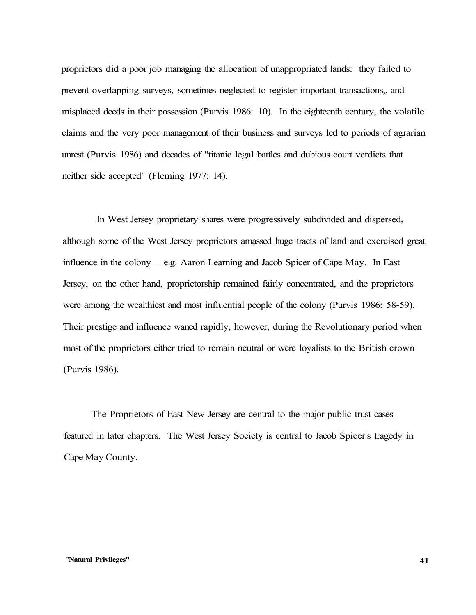proprietors did a poor job managing the allocation of unappropriated lands: they failed to prevent overlapping surveys, sometimes neglected to register important transactions,, and misplaced deeds in their possession (Purvis 1986: 10). In the eighteenth century, the volatile claims and the very poor management of their business and surveys led to periods of agrarian unrest (Purvis 1986) and decades of "titanic legal battles and dubious court verdicts that neither side accepted" (Fleming 1977: 14).

In West Jersey proprietary shares were progressively subdivided and dispersed, although some of the West Jersey proprietors amassed huge tracts of land and exercised great influence in the colony —e.g. Aaron Learning and Jacob Spicer of Cape May. In East Jersey, on the other hand, proprietorship remained fairly concentrated, and the proprietors were among the wealthiest and most influential people of the colony (Purvis 1986: 58-59). Their prestige and influence waned rapidly, however, during the Revolutionary period when most of the proprietors either tried to remain neutral or were loyalists to the British crown (Purvis 1986).

The Proprietors of East New Jersey are central to the major public trust cases featured in later chapters. The West Jersey Society is central to Jacob Spicer's tragedy in Cape May County.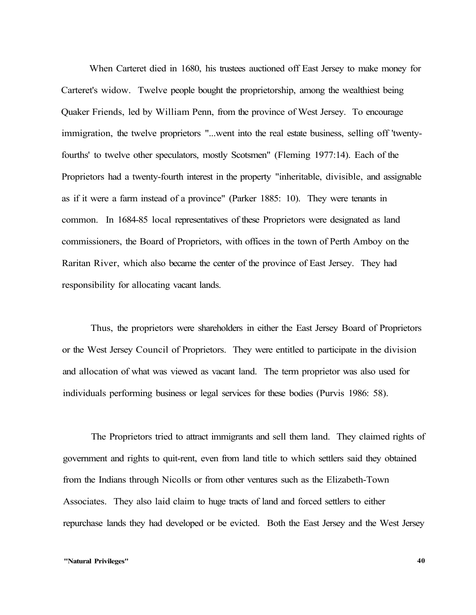When Carteret died in 1680, his trustees auctioned off East Jersey to make money for Carteret's widow. Twelve people bought the proprietorship, among the wealthiest being Quaker Friends, led by William Penn, from the province of West Jersey. To encourage immigration, the twelve proprietors "...went into the real estate business, selling off 'twentyfourths' to twelve other speculators, mostly Scotsmen" (Fleming 1977:14). Each of the Proprietors had a twenty-fourth interest in the property "inheritable, divisible, and assignable as if it were a farm instead of a province" (Parker 1885: 10). They were tenants in common. In 1684-85 local representatives of these Proprietors were designated as land commissioners, the Board of Proprietors, with offices in the town of Perth Amboy on the Raritan River, which also became the center of the province of East Jersey. They had responsibility for allocating vacant lands.

Thus, the proprietors were shareholders in either the East Jersey Board of Proprietors or the West Jersey Council of Proprietors. They were entitled to participate in the division and allocation of what was viewed as vacant land. The term proprietor was also used for individuals performing business or legal services for these bodies (Purvis 1986: 58).

The Proprietors tried to attract immigrants and sell them land. They claimed rights of government and rights to quit-rent, even from land title to which settlers said they obtained from the Indians through Nicolls or from other ventures such as the Elizabeth-Town Associates. They also laid claim to huge tracts of land and forced settlers to either repurchase lands they had developed or be evicted. Both the East Jersey and the West Jersey

### **"Natural Privileges" 40**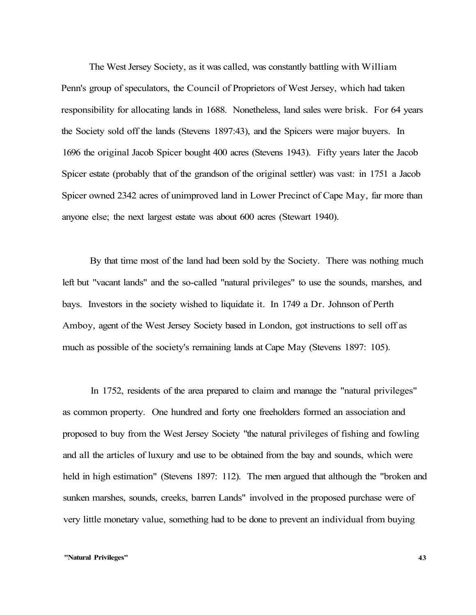The West Jersey Society, as it was called, was constantly battling with William Penn's group of speculators, the Council of Proprietors of West Jersey, which had taken responsibility for allocating lands in 1688. Nonetheless, land sales were brisk. For 64 years the Society sold off the lands (Stevens 1897:43), and the Spicers were major buyers. In 1696 the original Jacob Spicer bought 400 acres (Stevens 1943). Fifty years later the Jacob Spicer estate (probably that of the grandson of the original settler) was vast: in 1751 a Jacob Spicer owned 2342 acres of unimproved land in Lower Precinct of Cape May, far more than anyone else; the next largest estate was about 600 acres (Stewart 1940).

By that time most of the land had been sold by the Society. There was nothing much left but "vacant lands" and the so-called "natural privileges" to use the sounds, marshes, and bays. Investors in the society wished to liquidate it. In 1749 a Dr. Johnson of Perth Amboy, agent of the West Jersey Society based in London, got instructions to sell off as much as possible of the society's remaining lands at Cape May (Stevens 1897: 105).

In 1752, residents of the area prepared to claim and manage the "natural privileges" as common property. One hundred and forty one freeholders formed an association and proposed to buy from the West Jersey Society "the natural privileges of fishing and fowling and all the articles of luxury and use to be obtained from the bay and sounds, which were held in high estimation" (Stevens 1897: 112). The men argued that although the "broken and sunken marshes, sounds, creeks, barren Lands" involved in the proposed purchase were of very little monetary value, something had to be done to prevent an individual from buying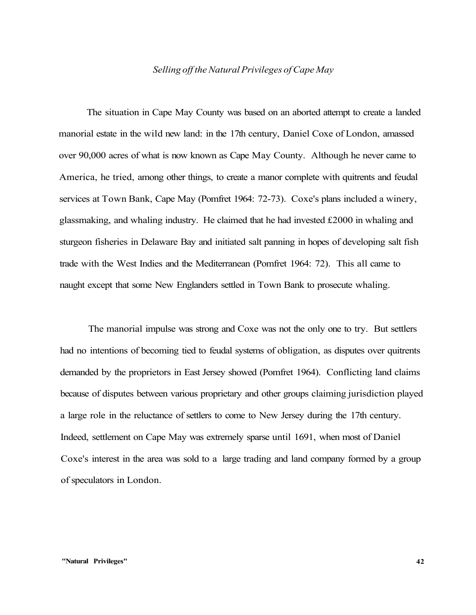# *Selling off the Natural Privileges of Cape May*

The situation in Cape May County was based on an aborted attempt to create a landed manorial estate in the wild new land: in the 17th century, Daniel Coxe of London, amassed over 90,000 acres of what is now known as Cape May County. Although he never came to America, he tried, among other things, to create a manor complete with quitrents and feudal services at Town Bank, Cape May (Pomfret 1964: 72-73). Coxe's plans included a winery, glassmaking, and whaling industry. He claimed that he had invested £2000 in whaling and sturgeon fisheries in Delaware Bay and initiated salt panning in hopes of developing salt fish trade with the West Indies and the Mediterranean (Pomfret 1964: 72). This all came to naught except that some New Englanders settled in Town Bank to prosecute whaling.

The manorial impulse was strong and Coxe was not the only one to try. But settlers had no intentions of becoming tied to feudal systems of obligation, as disputes over quitrents demanded by the proprietors in East Jersey showed (Pomfret 1964). Conflicting land claims because of disputes between various proprietary and other groups claiming jurisdiction played a large role in the reluctance of settlers to come to New Jersey during the 17th century. Indeed, settlement on Cape May was extremely sparse until 1691, when most of Daniel Coxe's interest in the area was sold to a large trading and land company formed by a group of speculators in London.

#### **"Natural Privileges" 42**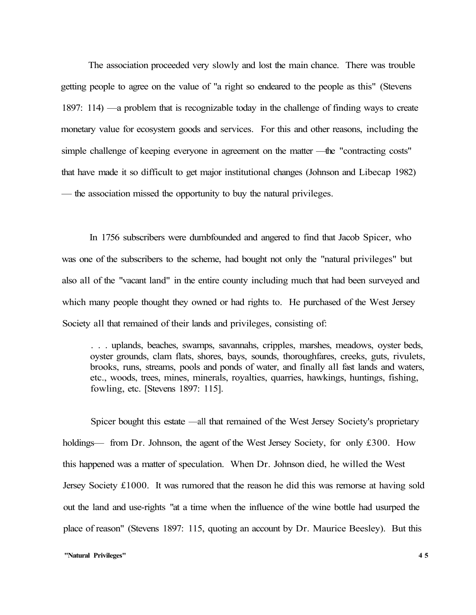The association proceeded very slowly and lost the main chance. There was trouble getting people to agree on the value of "a right so endeared to the people as this" (Stevens 1897: 114) —a problem that is recognizable today in the challenge of finding ways to create monetary value for ecosystem goods and services. For this and other reasons, including the simple challenge of keeping everyone in agreement on the matter —the "contracting costs" that have made it so difficult to get major institutional changes (Johnson and Libecap 1982) — the association missed the opportunity to buy the natural privileges.

In 1756 subscribers were dumbfounded and angered to find that Jacob Spicer, who was one of the subscribers to the scheme, had bought not only the "natural privileges" but also all of the "vacant land" in the entire county including much that had been surveyed and which many people thought they owned or had rights to. He purchased of the West Jersey Society all that remained of their lands and privileges, consisting of:

. . . uplands, beaches, swamps, savannahs, cripples, marshes, meadows, oyster beds, oyster grounds, clam flats, shores, bays, sounds, thoroughfares, creeks, guts, rivulets, brooks, runs, streams, pools and ponds of water, and finally all fast lands and waters, etc., woods, trees, mines, minerals, royalties, quarries, hawkings, huntings, fishing, fowling, etc. [Stevens 1897: 115].

Spicer bought this estate —all that remained of the West Jersey Society's proprietary holdings— from Dr. Johnson, the agent of the West Jersey Society, for only £300. How this happened was a matter of speculation. When Dr. Johnson died, he willed the West Jersey Society £1000. It was rumored that the reason he did this was remorse at having sold out the land and use-rights "at a time when the influence of the wine bottle had usurped the place of reason" (Stevens 1897: 115, quoting an account by Dr. Maurice Beesley). But this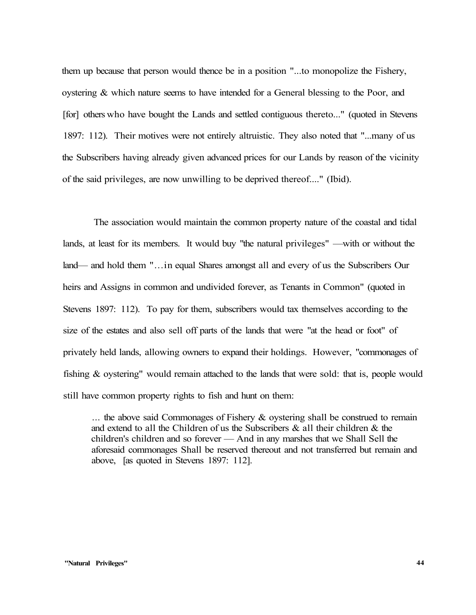them up because that person would thence be in a position "...to monopolize the Fishery, ovstering  $\&$  which nature seems to have intended for a General blessing to the Poor, and [for] others who have bought the Lands and settled contiguous thereto..." (quoted in Stevens 1897: 112). Their motives were not entirely altruistic. They also noted that "...many of us the Subscribers having already given advanced prices for our Lands by reason of the vicinity of the said privileges, are now unwilling to be deprived thereof...." (Ibid).

The association would maintain the common property nature of the coastal and tidal lands, at least for its members. It would buy "the natural privileges" —with or without the land— and hold them "...in equal Shares amongst all and every of us the Subscribers Our heirs and Assigns in common and undivided forever, as Tenants in Common" (quoted in Stevens 1897: 112). To pay for them, subscribers would tax themselves according to the size of the estates and also sell off parts of the lands that were "at the head or foot" of privately held lands, allowing owners to expand their holdings. However, "commonages of fishing & oystering" would remain attached to the lands that were sold: that is, people would still have common property rights to fish and hunt on them:

 $\ldots$  the above said Commonages of Fishery & oystering shall be construed to remain and extend to all the Children of us the Subscribers  $\&$  all their children  $\&$  the children's children and so forever — And in any marshes that we Shall Sell the aforesaid commonages Shall be reserved thereout and not transferred but remain and above, [as quoted in Stevens 1897: 112].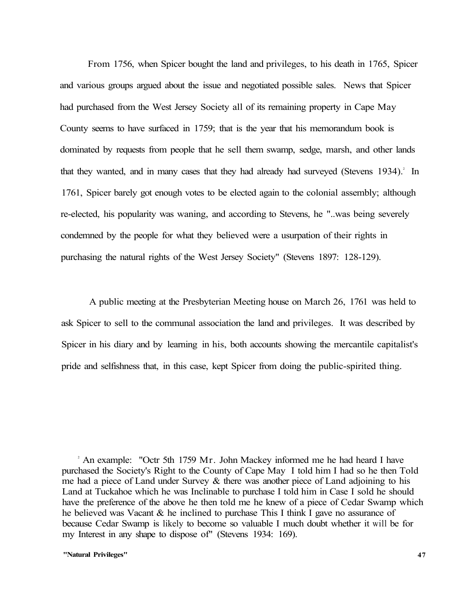From 1756, when Spicer bought the land and privileges, to his death in 1765, Spicer and various groups argued about the issue and negotiated possible sales. News that Spicer had purchased from the West Jersey Society all of its remaining property in Cape May County seems to have surfaced in 1759; that is the year that his memorandum book is dominated by requests from people that he sell them swamp, sedge, marsh, and other lands that they wanted, and in many cases that they had already had surveyed (Stevens 1934).<sup>2</sup> In 1761, Spicer barely got enough votes to be elected again to the colonial assembly; although re-elected, his popularity was waning, and according to Stevens, he "..was being severely condemned by the people for what they believed were a usurpation of their rights in purchasing the natural rights of the West Jersey Society" (Stevens 1897: 128-129).

A public meeting at the Presbyterian Meeting house on March 26, 1761 was held to ask Spicer to sell to the communal association the land and privileges. It was described by Spicer in his diary and by learning in his, both accounts showing the mercantile capitalist's pride and selfishness that, in this case, kept Spicer from doing the public-spirited thing.

<sup>2</sup> An example: "Octr 5th 1759 Mr. John Mackey informed me he had heard I have purchased the Society's Right to the County of Cape May I told him I had so he then Told me had a piece of Land under Survey  $\&$  there was another piece of Land adjoining to his Land at Tuckahoe which he was Inclinable to purchase I told him in Case I sold he should have the preference of the above he then told me he knew of a piece of Cedar Swamp which he believed was Vacant & he inclined to purchase This I think I gave no assurance of because Cedar Swamp is likely to become so valuable I much doubt whether it will be for my Interest in any shape to dispose of" (Stevens 1934: 169).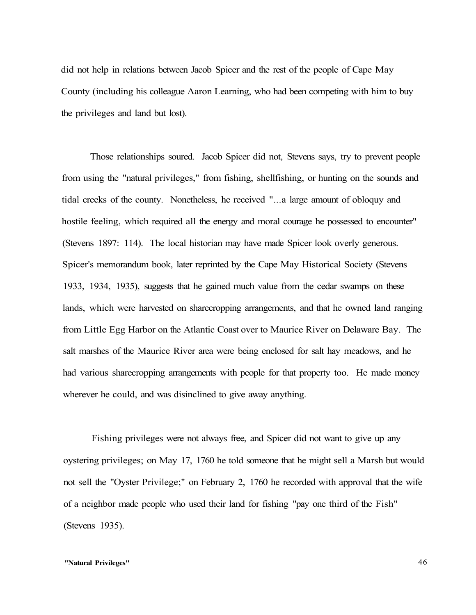did not help in relations between Jacob Spicer and the rest of the people of Cape May County (including his colleague Aaron Learning, who had been competing with him to buy the privileges and land but lost).

Those relationships soured. Jacob Spicer did not, Stevens says, try to prevent people from using the "natural privileges," from fishing, shellfishing, or hunting on the sounds and tidal creeks of the county. Nonetheless, he received "...a large amount of obloquy and hostile feeling, which required all the energy and moral courage he possessed to encounter" (Stevens 1897: 114). The local historian may have made Spicer look overly generous. Spicer's memorandum book, later reprinted by the Cape May Historical Society (Stevens 1933, 1934, 1935), suggests that he gained much value from the cedar swamps on these lands, which were harvested on sharecropping arrangements, and that he owned land ranging from Little Egg Harbor on the Atlantic Coast over to Maurice River on Delaware Bay. The salt marshes of the Maurice River area were being enclosed for salt hay meadows, and he had various sharecropping arrangements with people for that property too. He made money wherever he could, and was disinclined to give away anything.

Fishing privileges were not always free, and Spicer did not want to give up any oystering privileges; on May 17, 1760 he told someone that he might sell a Marsh but would not sell the "Oyster Privilege;" on February 2, 1760 he recorded with approval that the wife of a neighbor made people who used their land for fishing "pay one third of the Fish" (Stevens 1935).

### **"Natural Privileges"** 46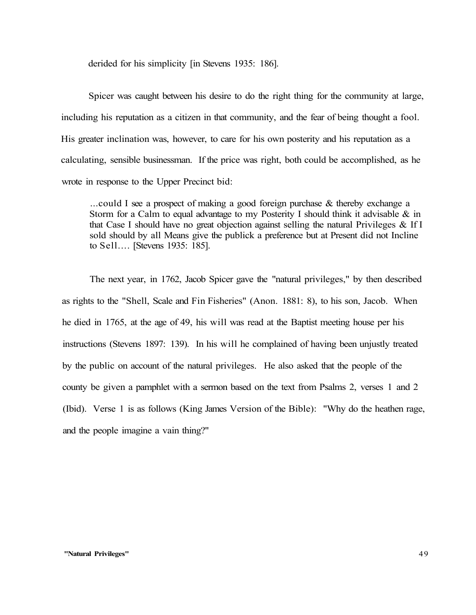derided for his simplicity [in Stevens 1935: 186].

Spicer was caught between his desire to do the right thing for the community at large, including his reputation as a citizen in that community, and the fear of being thought a fool. His greater inclination was, however, to care for his own posterity and his reputation as a calculating, sensible businessman. If the price was right, both could be accomplished, as he wrote in response to the Upper Precinct bid:

...could I see a prospect of making a good foreign purchase & thereby exchange a Storm for a Calm to equal advantage to my Posterity I should think it advisable  $\&$  in that Case I should have no great objection against selling the natural Privileges  $\&$  If I sold should by all Means give the publick a preference but at Present did not Incline to Sell.... [Stevens 1935: 185].

The next year, in 1762, Jacob Spicer gave the "natural privileges," by then described as rights to the "Shell, Scale and Fin Fisheries" (Anon. 1881: 8), to his son, Jacob. When he died in 1765, at the age of 49, his will was read at the Baptist meeting house per his instructions (Stevens 1897: 139). In his will he complained of having been unjustly treated by the public on account of the natural privileges. He also asked that the people of the county be given a pamphlet with a sermon based on the text from Psalms 2, verses 1 and 2 (Ibid). Verse 1 is as follows (King James Version of the Bible): "Why do the heathen rage, and the people imagine a vain thing?"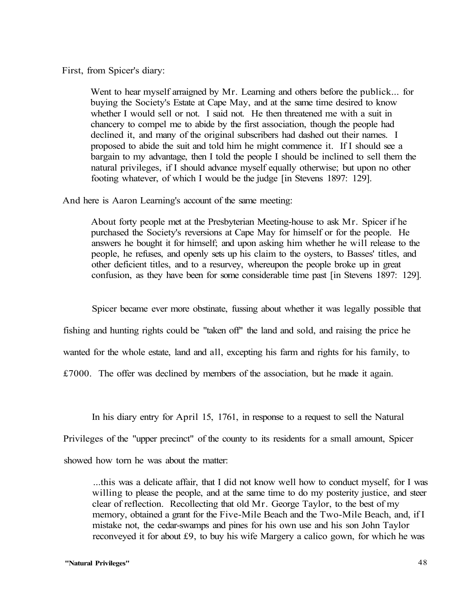First, from Spicer's diary:

Went to hear myself arraigned by Mr. Learning and others before the publick... for buying the Society's Estate at Cape May, and at the same time desired to know whether I would sell or not. I said not. He then threatened me with a suit in chancery to compel me to abide by the first association, though the people had declined it, and many of the original subscribers had dashed out their names. I proposed to abide the suit and told him he might commence it. If I should see a bargain to my advantage, then I told the people I should be inclined to sell them the natural privileges, if I should advance myself equally otherwise; but upon no other footing whatever, of which I would be the judge [in Stevens 1897: 129].

And here is Aaron Learning's account of the same meeting:

About forty people met at the Presbyterian Meeting-house to ask Mr. Spicer if he purchased the Society's reversions at Cape May for himself or for the people. He answers he bought it for himself; and upon asking him whether he will release to the people, he refuses, and openly sets up his claim to the oysters, to Basses' titles, and other deficient titles, and to a resurvey, whereupon the people broke up in great confusion, as they have been for some considerable time past [in Stevens 1897: 129].

Spicer became ever more obstinate, fussing about whether it was legally possible that

fishing and hunting rights could be "taken off" the land and sold, and raising the price he

wanted for the whole estate, land and all, excepting his farm and rights for his family, to

£7000. The offer was declined by members of the association, but he made it again.

In his diary entry for April 15, 1761, in response to a request to sell the Natural

Privileges of the "upper precinct" of the county to its residents for a small amount, Spicer

showed how torn he was about the matter:

...this was a delicate affair, that I did not know well how to conduct myself, for I was willing to please the people, and at the same time to do my posterity justice, and steer clear of reflection. Recollecting that old Mr. George Taylor, to the best of my memory, obtained a grant for the Five-Mile Beach and the Two-Mile Beach, and, if I mistake not, the cedar-swamps and pines for his own use and his son John Taylor reconveyed it for about £9, to buy his wife Margery a calico gown, for which he was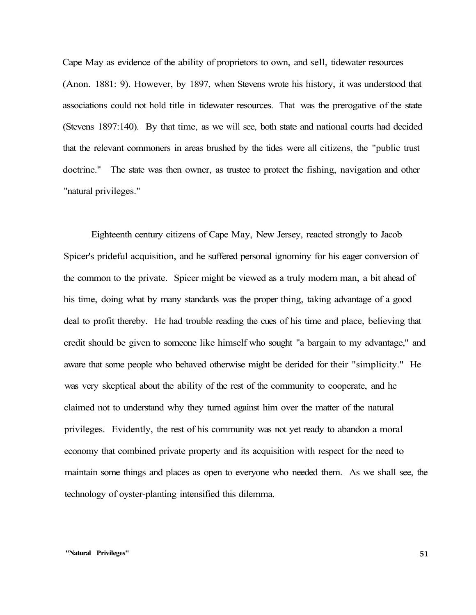Cape May as evidence of the ability of proprietors to own, and sell, tidewater resources (Anon. 1881: 9). However, by 1897, when Stevens wrote his history, it was understood that associations could not hold title in tidewater resources. That was the prerogative of the state (Stevens 1897:140). By that time, as we will see, both state and national courts had decided that the relevant commoners in areas brushed by the tides were all citizens, the "public trust doctrine." The state was then owner, as trustee to protect the fishing, navigation and other "natural privileges."

Eighteenth century citizens of Cape May, New Jersey, reacted strongly to Jacob Spicer's prideful acquisition, and he suffered personal ignominy for his eager conversion of the common to the private. Spicer might be viewed as a truly modern man, a bit ahead of his time, doing what by many standards was the proper thing, taking advantage of a good deal to profit thereby. He had trouble reading the cues of his time and place, believing that credit should be given to someone like himself who sought "a bargain to my advantage," and aware that some people who behaved otherwise might be derided for their "simplicity." He was very skeptical about the ability of the rest of the community to cooperate, and he claimed not to understand why they turned against him over the matter of the natural privileges. Evidently, the rest of his community was not yet ready to abandon a moral economy that combined private property and its acquisition with respect for the need to maintain some things and places as open to everyone who needed them. As we shall see, the technology of oyster-planting intensified this dilemma.